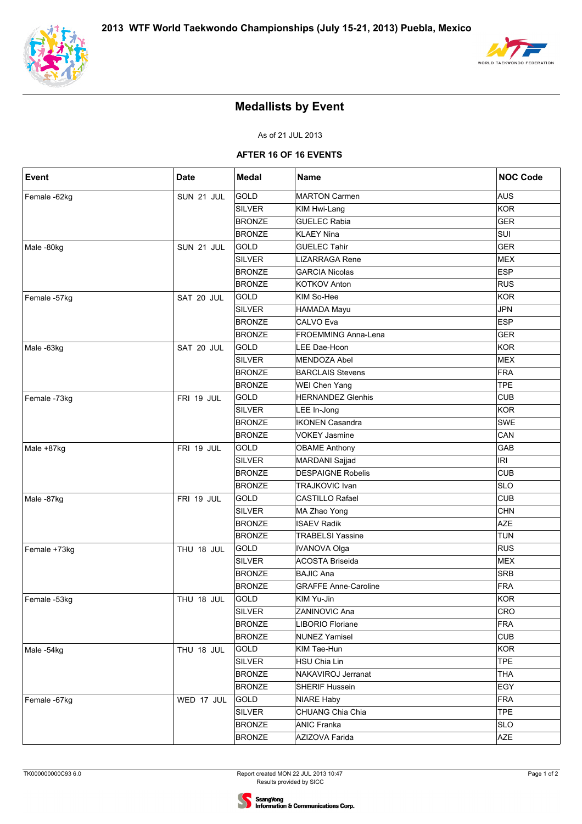



## **Medallists by Event**

As of 21 JUL 2013

#### **AFTER 16 OF 16 EVENTS**

| <b>Event</b> | <b>Date</b> | <b>Medal</b>  | <b>Name</b>                 | <b>NOC Code</b> |
|--------------|-------------|---------------|-----------------------------|-----------------|
| Female -62kg | SUN 21 JUL  | GOLD          | <b>MARTON Carmen</b>        | <b>AUS</b>      |
|              |             | SILVER        | KIM Hwi-Lang                | <b>KOR</b>      |
|              |             | <b>BRONZE</b> | <b>GUELEC Rabia</b>         | <b>GER</b>      |
|              |             | <b>BRONZE</b> | <b>KLAEY Nina</b>           | SUI             |
| Male-80kg    | SUN 21 JUL  | <b>GOLD</b>   | <b>GUELEC Tahir</b>         | <b>GER</b>      |
|              |             | SILVER        | <b>LIZARRAGA Rene</b>       | <b>MEX</b>      |
|              |             | <b>BRONZE</b> | <b>GARCIA Nicolas</b>       | <b>ESP</b>      |
|              |             | <b>BRONZE</b> | <b>KOTKOV Anton</b>         | <b>RUS</b>      |
| Female -57kg | SAT 20 JUL  | GOLD          | KIM So-Hee                  | <b>KOR</b>      |
|              |             | SILVER        | HAMADA Mayu                 | <b>JPN</b>      |
|              |             | <b>BRONZE</b> | <b>CALVO Eva</b>            | <b>ESP</b>      |
|              |             | <b>BRONZE</b> | <b>FROEMMING Anna-Lena</b>  | <b>GER</b>      |
| Male-63kg    | SAT 20 JUL  | GOLD          | LEE Dae-Hoon                | <b>KOR</b>      |
|              |             | SILVER        | MENDOZA Abel                | <b>MEX</b>      |
|              |             | <b>BRONZE</b> | <b>BARCLAIS Stevens</b>     | <b>FRA</b>      |
|              |             | <b>BRONZE</b> | WEI Chen Yang               | <b>TPE</b>      |
| Female -73kg | FRI 19 JUL  | <b>GOLD</b>   | <b>HERNANDEZ Glenhis</b>    | <b>CUB</b>      |
|              |             | <b>SILVER</b> | LEE In-Jong                 | <b>KOR</b>      |
|              |             | <b>BRONZE</b> | <b>IKONEN Casandra</b>      | SWE             |
|              |             | <b>BRONZE</b> | VOKEY Jasmine               | CAN             |
| Male +87kg   | FRI 19 JUL  | GOLD          | <b>OBAME Anthony</b>        | GAB             |
|              |             | <b>SILVER</b> | MARDANI Sajjad              | <b>IRI</b>      |
|              |             | <b>BRONZE</b> | <b>DESPAIGNE Robelis</b>    | <b>CUB</b>      |
|              |             | <b>BRONZE</b> | <b>TRAJKOVIC Ivan</b>       | <b>SLO</b>      |
| Male-87kg    | FRI 19 JUL  | GOLD          | <b>CASTILLO Rafael</b>      | <b>CUB</b>      |
|              |             | <b>SILVER</b> | MA Zhao Yong                | <b>CHN</b>      |
|              |             | <b>BRONZE</b> | <b>ISAEV Radik</b>          | <b>AZE</b>      |
|              |             | <b>BRONZE</b> | <b>TRABELSI Yassine</b>     | <b>TUN</b>      |
| Female +73kg | THU 18 JUL  | GOLD          | <b>IVANOVA Olga</b>         | <b>RUS</b>      |
|              |             | <b>SILVER</b> | <b>ACOSTA Briseida</b>      | <b>MEX</b>      |
|              |             | <b>BRONZE</b> | <b>BAJIC Ana</b>            | <b>SRB</b>      |
|              |             | <b>BRONZE</b> | <b>GRAFFE Anne-Caroline</b> | <b>FRA</b>      |
| Female -53kg | THU 18 JUL  | GOLD          | KIM Yu-Jin                  | <b>KOR</b>      |
|              |             | SILVER        | ZANINOVIC Ana               | CRO             |
|              |             | <b>BRONZE</b> | LIBORIO Floriane            | <b>FRA</b>      |
|              |             | <b>BRONZE</b> | <b>NUNEZ Yamisel</b>        | <b>CUB</b>      |
| Male-54kg    | THU 18 JUL  | GOLD          | KIM Tae-Hun                 | <b>KOR</b>      |
|              |             | SILVER        | <b>HSU Chia Lin</b>         | <b>TPE</b>      |
|              |             | <b>BRONZE</b> | NAKAVIROJ Jerranat          | <b>THA</b>      |
|              |             | <b>BRONZE</b> | <b>SHERIF Hussein</b>       | EGY             |
| Female -67kg | WED 17 JUL  | GOLD          | NIARE Haby                  | <b>FRA</b>      |
|              |             | SILVER        | CHUANG Chia Chia            | <b>TPE</b>      |
|              |             | <b>BRONZE</b> | <b>ANIC Franka</b>          | <b>SLO</b>      |
|              |             | <b>BRONZE</b> | AZIZOVA Farida              | AZE             |
|              |             |               |                             |                 |

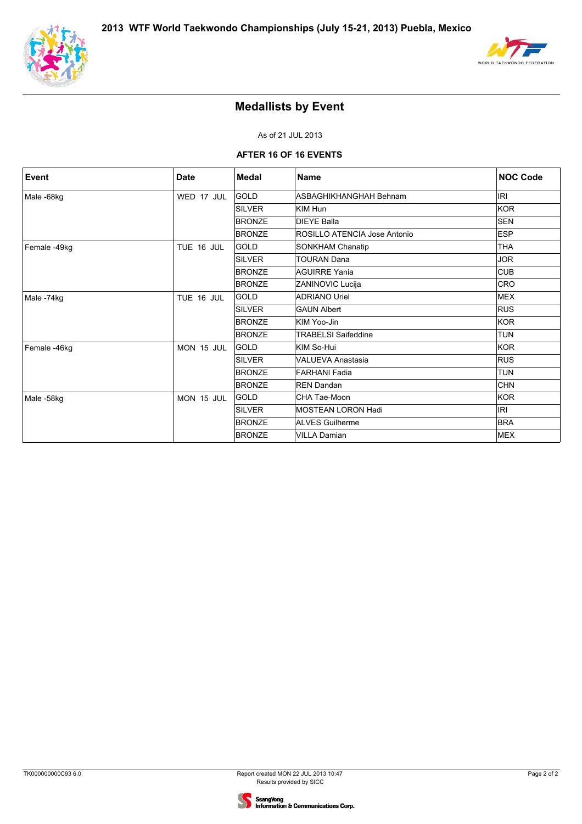



## **Medallists by Event**

As of 21 JUL 2013

#### **AFTER 16 OF 16 EVENTS**

| <b>Event</b> | <b>Date</b> | <b>Medal</b>  | <b>Name</b>                  | <b>NOC Code</b> |
|--------------|-------------|---------------|------------------------------|-----------------|
| Male-68kg    | WED 17 JUL  | <b>GOLD</b>   | ASBAGHIKHANGHAH Behnam       | <b>IRI</b>      |
|              |             | <b>SILVER</b> | KIM Hun                      | <b>KOR</b>      |
|              |             | <b>BRONZE</b> | <b>DIEYE Balla</b>           | <b>SEN</b>      |
|              |             | <b>BRONZE</b> | ROSILLO ATENCIA Jose Antonio | ESP             |
| Female -49kg | TUE 16 JUL  | <b>GOLD</b>   | SONKHAM Chanatip             | <b>THA</b>      |
|              |             | <b>SILVER</b> | <b>TOURAN Dana</b>           | <b>JOR</b>      |
|              |             | <b>BRONZE</b> | <b>AGUIRRE Yania</b>         | <b>CUB</b>      |
|              |             | <b>BRONZE</b> | ZANINOVIC Lucija             | <b>CRO</b>      |
| Male-74kg    | TUE 16 JUL  | <b>GOLD</b>   | <b>ADRIANO Uriel</b>         | <b>MEX</b>      |
|              |             | <b>SILVER</b> | <b>GAUN Albert</b>           | <b>RUS</b>      |
|              |             | <b>BRONZE</b> | KIM Yoo-Jin                  | KOR             |
|              |             | <b>BRONZE</b> | <b>TRABELSI Saifeddine</b>   | <b>TUN</b>      |
| Female -46kg | MON 15 JUL  | GOLD          | KIM So-Hui                   | KOR             |
|              |             | <b>SILVER</b> | VALUEVA Anastasia            | <b>RUS</b>      |
|              |             | <b>BRONZE</b> | FARHANI Fadia                | <b>TUN</b>      |
|              |             | <b>BRONZE</b> | <b>REN Dandan</b>            | <b>CHN</b>      |
| Male-58kg    | MON 15 JUL  | <b>GOLD</b>   | CHA Tae-Moon                 | <b>KOR</b>      |
|              |             | <b>SILVER</b> | <b>MOSTEAN LORON Hadi</b>    | <b>IRI</b>      |
|              |             | <b>BRONZE</b> | <b>ALVES Guilherme</b>       | <b>BRA</b>      |
|              |             | <b>BRONZE</b> | <b>VILLA Damian</b>          | <b>MEX</b>      |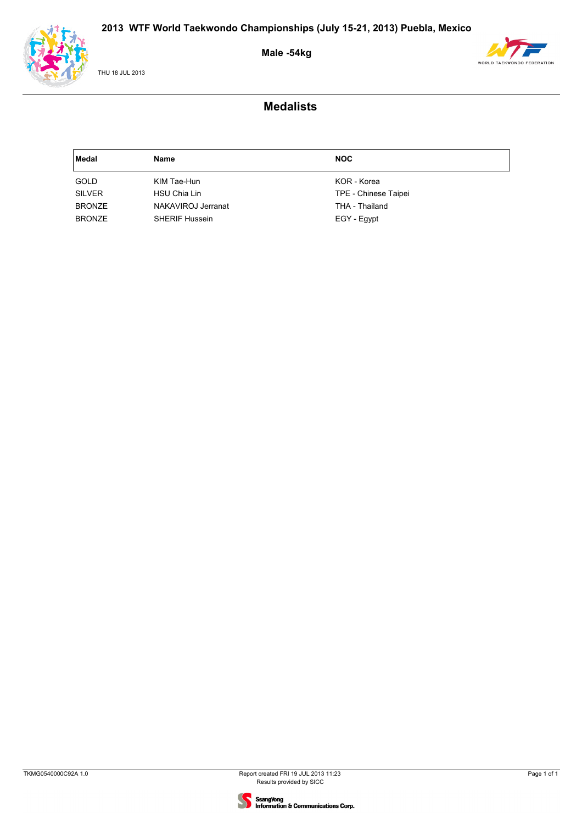

THU 18 JUL 2013

### **Male -54kg**



| <b>Medal</b>  | Name                  | <b>NOC</b>           |
|---------------|-----------------------|----------------------|
| <b>GOLD</b>   | KIM Tae-Hun           | KOR - Korea          |
| <b>SILVER</b> | HSU Chia Lin          | TPE - Chinese Taipei |
| <b>BRONZE</b> | NAKAVIROJ Jerranat    | THA - Thailand       |
| <b>BRONZE</b> | <b>SHERIF Hussein</b> | EGY - Egypt          |

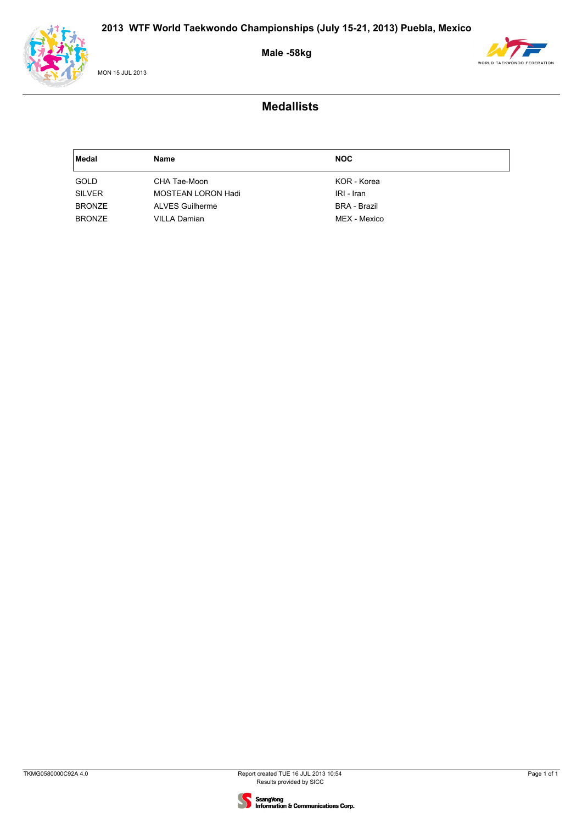

MON 15 JUL 2013

### **Male -58kg**



| Medal         | Name                   | <b>NOC</b>          |
|---------------|------------------------|---------------------|
| GOLD          | CHA Tae-Moon           | KOR - Korea         |
| <b>SILVER</b> | MOSTEAN LORON Hadi     | IRI - Iran          |
| <b>BRONZE</b> | <b>ALVES Guilherme</b> | <b>BRA - Brazil</b> |
| <b>BRONZE</b> | <b>VILLA Damian</b>    | MEX - Mexico        |

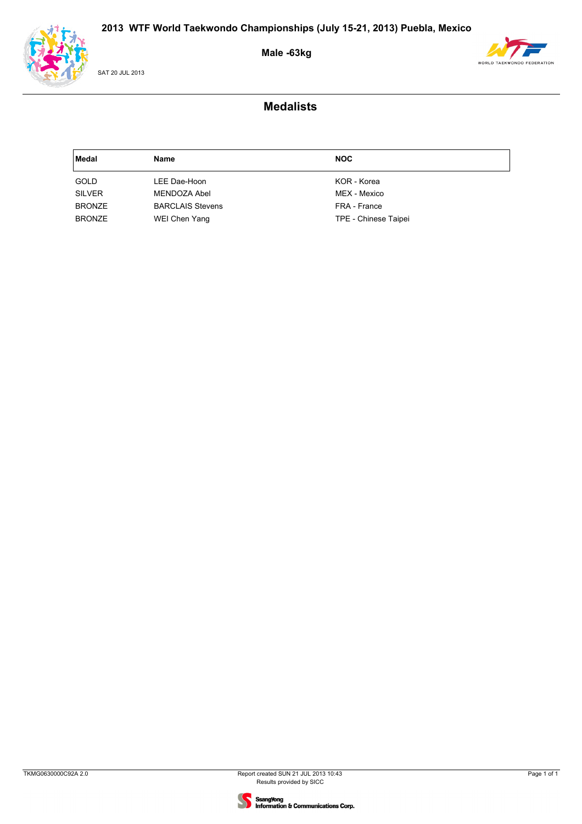

SAT 20 JUL 2013

### **Male -63kg**



| Medal         | Name                    | <b>NOC</b>           |
|---------------|-------------------------|----------------------|
| <b>GOLD</b>   | LEE Dae-Hoon            | KOR - Korea          |
| <b>SILVER</b> | MENDOZA Abel            | MEX - Mexico         |
| <b>BRONZE</b> | <b>BARCLAIS Stevens</b> | FRA - France         |
| <b>BRONZE</b> | WEI Chen Yang           | TPE - Chinese Taipei |

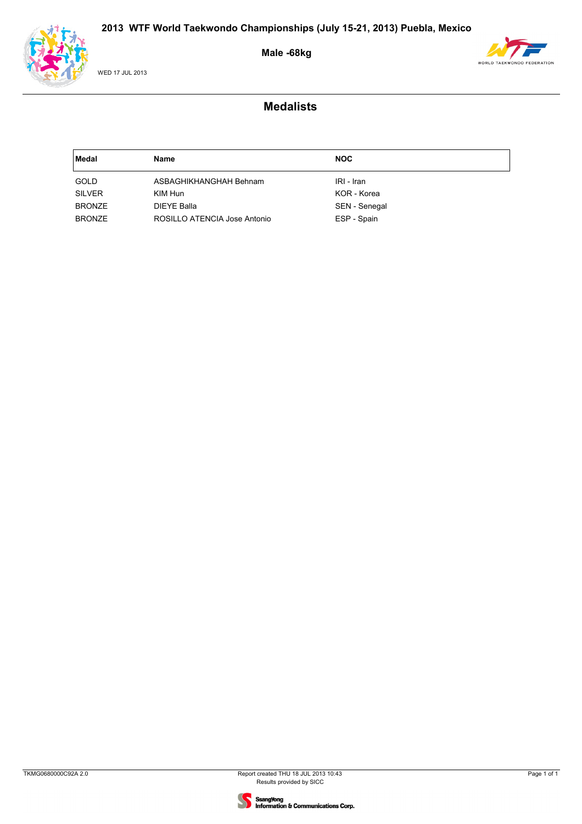

WED 17 JUL 2013

### **Male -68kg**



| Medal         | Name                         | <b>NOC</b>    |
|---------------|------------------------------|---------------|
| GOLD          | ASBAGHIKHANGHAH Behnam       | IRI - Iran    |
| <b>SILVER</b> | KIM Hun                      | KOR - Korea   |
| <b>BRONZE</b> | DIEYE Balla                  | SEN - Senegal |
| <b>BRONZE</b> | ROSILLO ATENCIA Jose Antonio | ESP - Spain   |

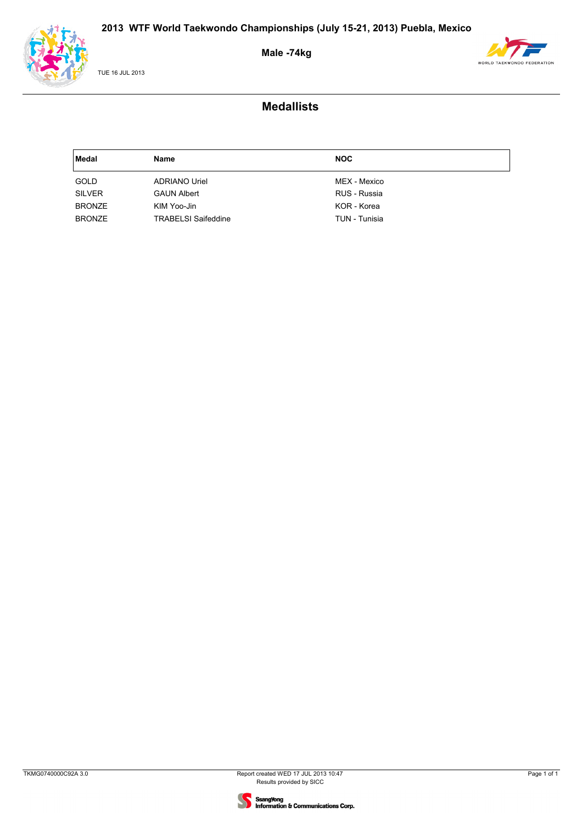

TUE 16 JUL 2013

### **Male -74kg**



| Medal         | Name                       | <b>NOC</b>    |
|---------------|----------------------------|---------------|
| GOLD          | <b>ADRIANO Uriel</b>       | MEX - Mexico  |
| <b>SILVER</b> | <b>GAUN Albert</b>         | RUS - Russia  |
| <b>BRONZE</b> | KIM Yoo-Jin                | KOR - Korea   |
| <b>BRONZE</b> | <b>TRABELSI Saifeddine</b> | TUN - Tunisia |

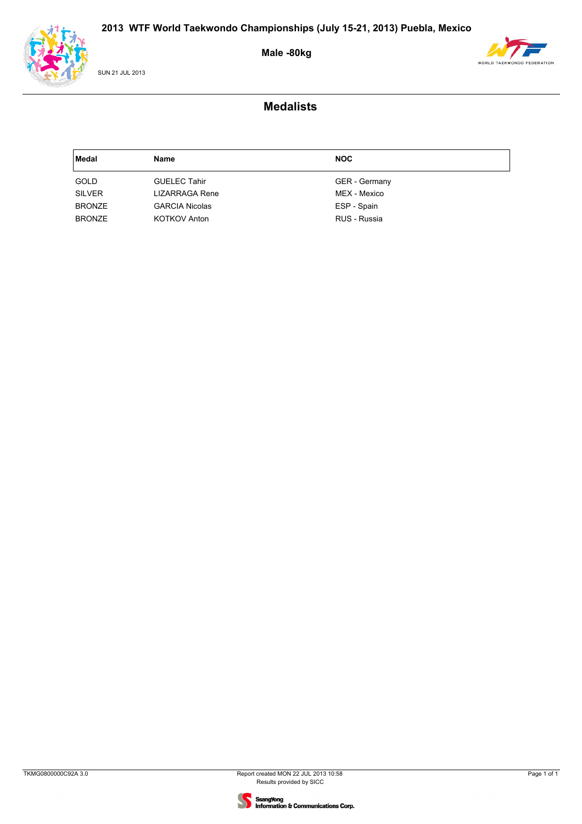

SUN 21 JUL 2013

# **Male -80kg**



| Medal         | Name                  | <b>NOC</b>           |
|---------------|-----------------------|----------------------|
| GOLD          | <b>GUELEC Tahir</b>   | <b>GER</b> - Germany |
| <b>SILVER</b> | LIZARRAGA Rene        | MEX - Mexico         |
| <b>BRONZE</b> | <b>GARCIA Nicolas</b> | ESP - Spain          |
| <b>BRONZE</b> | <b>KOTKOV Anton</b>   | RUS - Russia         |

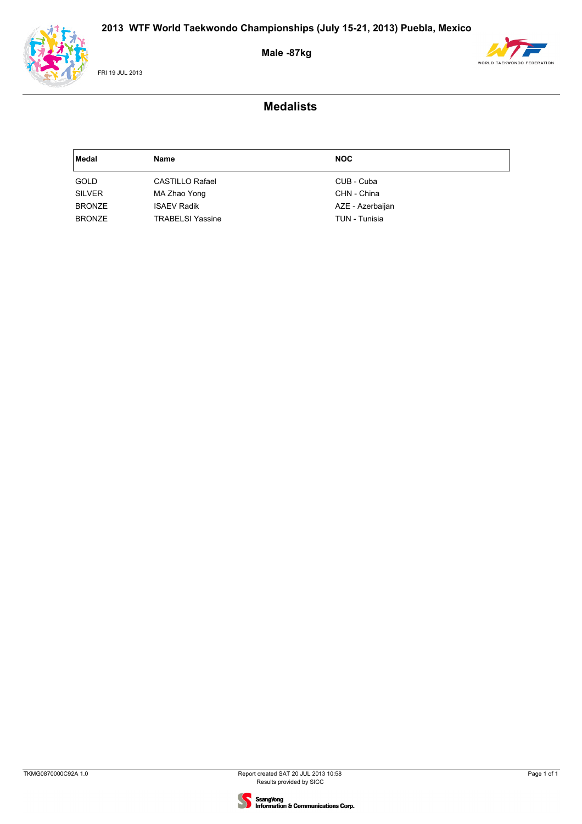

FRI 19 JUL 2013

### **Male -87kg**



| Medal         | Name                    | <b>NOC</b>       |
|---------------|-------------------------|------------------|
| GOLD          | <b>CASTILLO Rafael</b>  | CUB - Cuba       |
| <b>SILVER</b> | MA Zhao Yong            | CHN - China      |
| <b>BRONZE</b> | <b>ISAEV Radik</b>      | AZE - Azerbaijan |
| <b>BRONZE</b> | <b>TRABELSI Yassine</b> | TUN - Tunisia    |

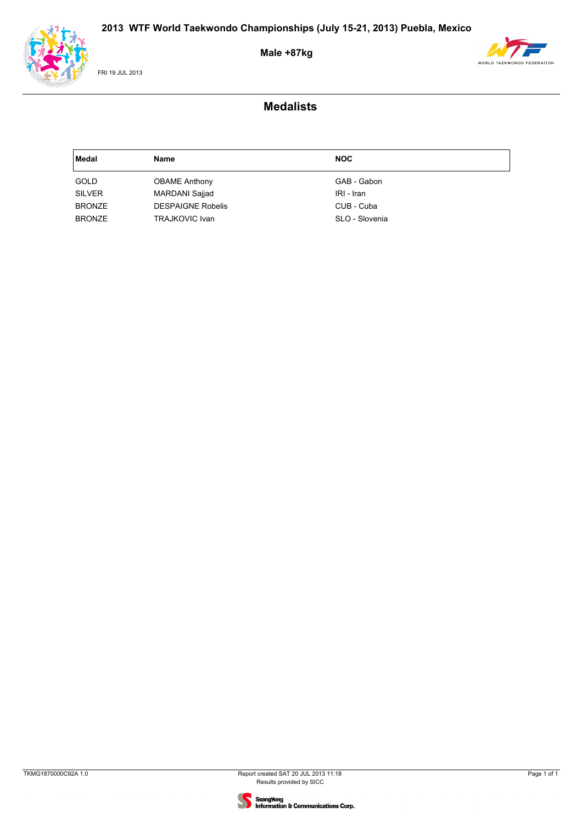

FRI 19 JUL 2013

### **Male +87kg**



| Medal         | Name                     | <b>NOC</b>     |
|---------------|--------------------------|----------------|
| <b>GOLD</b>   | <b>OBAME Anthony</b>     | GAB - Gabon    |
| <b>SILVER</b> | <b>MARDANI Sajjad</b>    | IRI - Iran     |
| <b>BRONZE</b> | <b>DESPAIGNE Robelis</b> | CUB - Cuba     |
| <b>BRONZE</b> | <b>TRAJKOVIC Ivan</b>    | SLO - Slovenia |

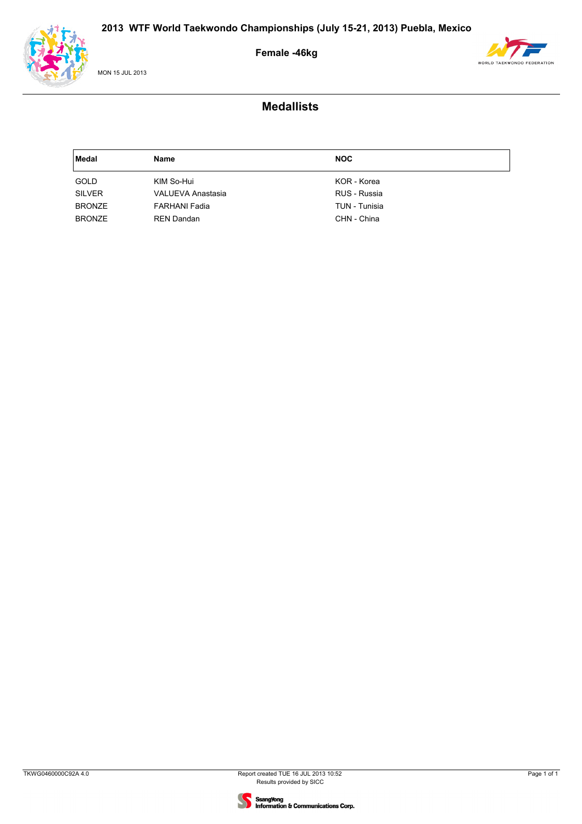

MON 15 JUL 2013

### **Female -46kg**



| Medal         | Name                     | <b>NOC</b>    |
|---------------|--------------------------|---------------|
| <b>GOLD</b>   | KIM So-Hui               | KOR - Korea   |
| <b>SILVER</b> | <b>VALUEVA Anastasia</b> | RUS - Russia  |
| <b>BRONZE</b> | <b>FARHANI Fadia</b>     | TUN - Tunisia |
| <b>BRONZE</b> | <b>REN Dandan</b>        | CHN - China   |

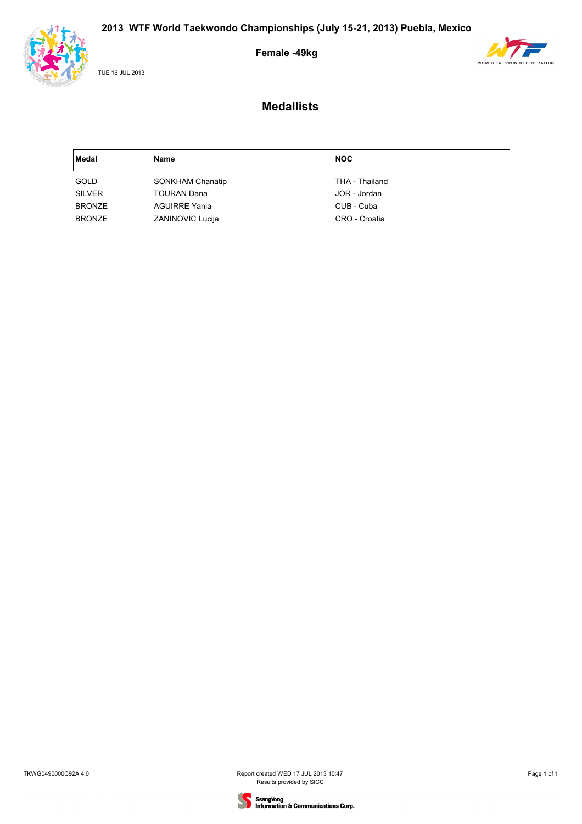

TUE 16 JUL 2013

### **Female -49kg**



| Medal         | Name                    | <b>NOC</b>     |
|---------------|-------------------------|----------------|
| GOLD          | SONKHAM Chanatip        | THA - Thailand |
| <b>SILVER</b> | <b>TOURAN Dana</b>      | JOR - Jordan   |
| <b>BRONZE</b> | <b>AGUIRRE Yania</b>    | CUB - Cuba     |
| <b>BRONZE</b> | <b>ZANINOVIC Lucija</b> | CRO - Croatia  |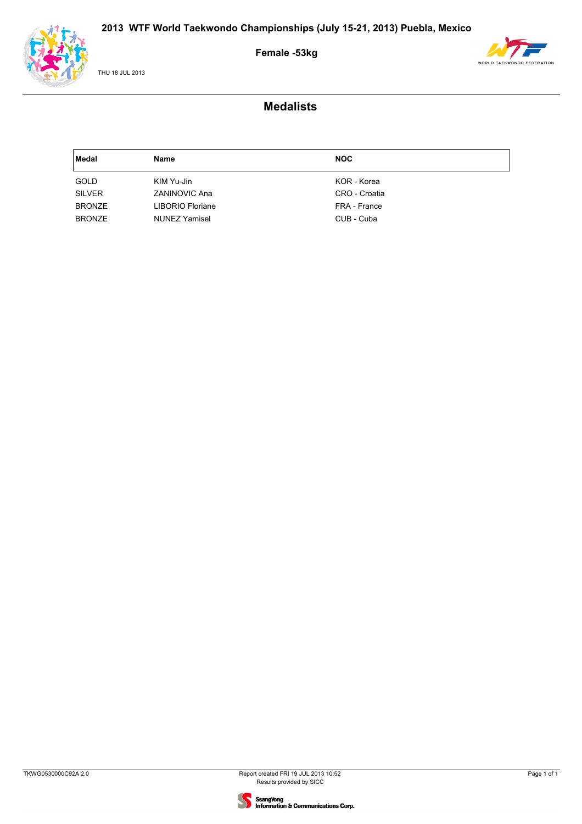

THU 18 JUL 2013

### **Female -53kg**



| Medal         | <b>Name</b>          | <b>NOC</b>    |
|---------------|----------------------|---------------|
| GOLD          | KIM Yu-Jin           | KOR - Korea   |
| <b>SILVER</b> | <b>ZANINOVIC Ana</b> | CRO - Croatia |
| <b>BRONZE</b> | LIBORIO Floriane     | FRA - France  |
| <b>BRONZE</b> | <b>NUNEZ Yamisel</b> | CUB - Cuba    |

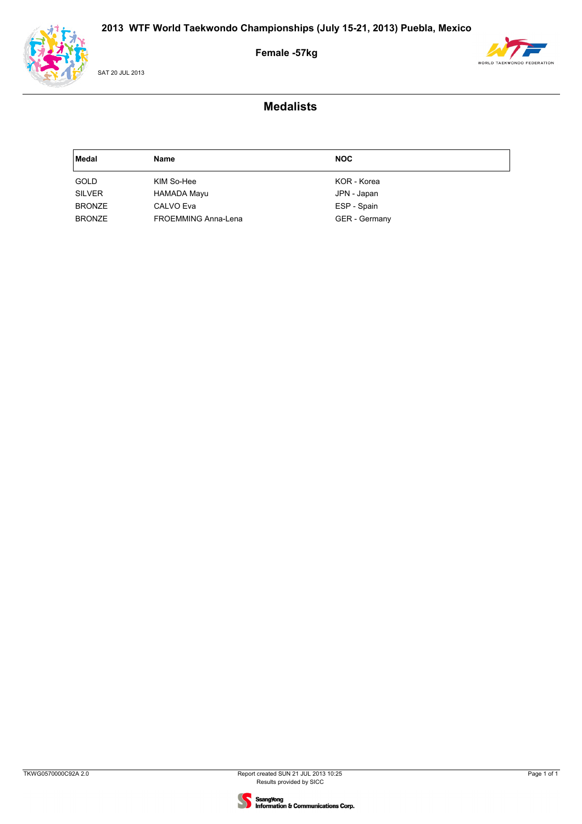

SAT 20 JUL 2013

### **Female -57kg**



| Medal         | Name                | <b>NOC</b>           |
|---------------|---------------------|----------------------|
| <b>GOLD</b>   | KIM So-Hee          | KOR - Korea          |
| <b>SILVER</b> | HAMADA Mayu         | JPN - Japan          |
| <b>BRONZE</b> | CALVO Eva           | ESP - Spain          |
| <b>BRONZE</b> | FROEMMING Anna-Lena | <b>GER</b> - Germany |

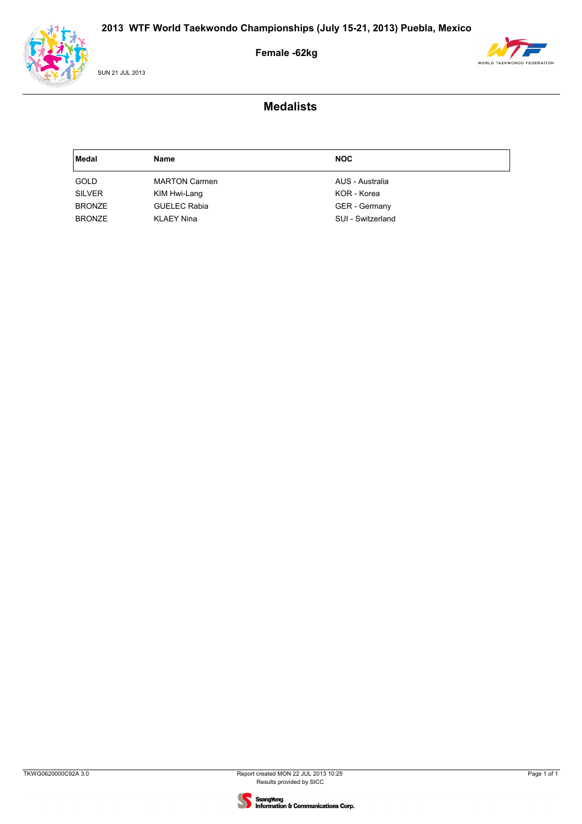

SUN 21 JUL 2013

### **Female -62kg**



| Medal         | <b>Name</b>          | <b>NOC</b>           |
|---------------|----------------------|----------------------|
| GOLD          | <b>MARTON Carmen</b> | AUS - Australia      |
| <b>SILVER</b> | KIM Hwi-Lang         | KOR - Korea          |
| <b>BRONZE</b> | <b>GUELEC Rabia</b>  | <b>GER</b> - Germany |
| <b>BRONZE</b> | <b>KLAEY Nina</b>    | SUI - Switzerland    |

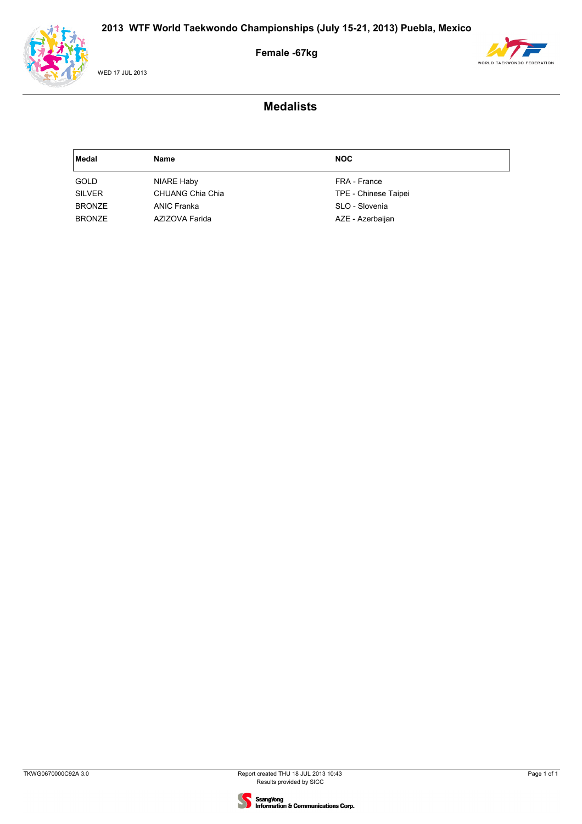



WED 17 JUL 2013

### **Female -67kg**



| Medal         | Name             | <b>NOC</b>           |
|---------------|------------------|----------------------|
| GOLD          | NIARE Haby       | FRA - France         |
| <b>SILVER</b> | CHUANG Chia Chia | TPE - Chinese Taipei |
| <b>BRONZE</b> | ANIC Franka      | SLO - Slovenia       |
| <b>BRONZE</b> | AZIZOVA Farida   | AZE - Azerbaijan     |

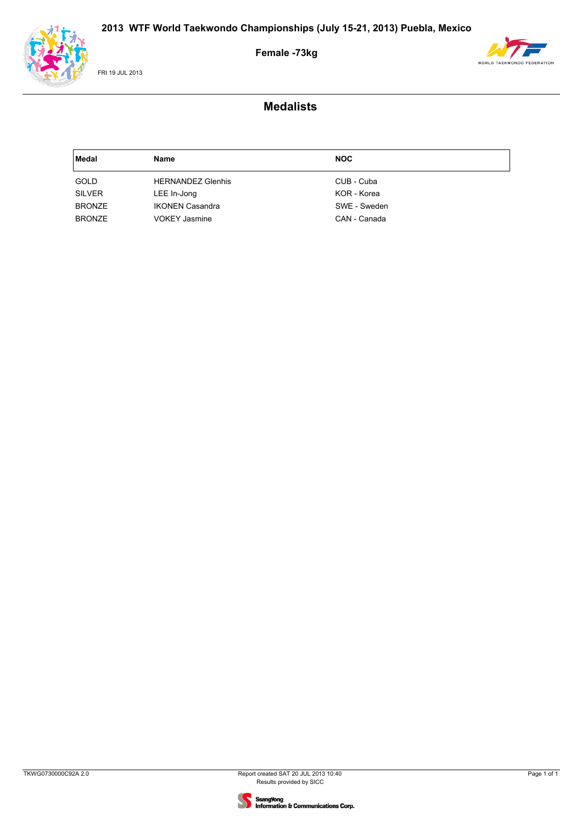



FRI 19 JUL 2013

### **Female -73kg**



| Medal         | Name                     | <b>NOC</b>   |
|---------------|--------------------------|--------------|
| GOLD          | <b>HERNANDEZ Glenhis</b> | CUB - Cuba   |
| <b>SILVER</b> | LEE In-Jong              | KOR - Korea  |
| <b>BRONZE</b> | <b>IKONEN Casandra</b>   | SWE - Sweden |
| <b>BRONZE</b> | <b>VOKEY Jasmine</b>     | CAN - Canada |

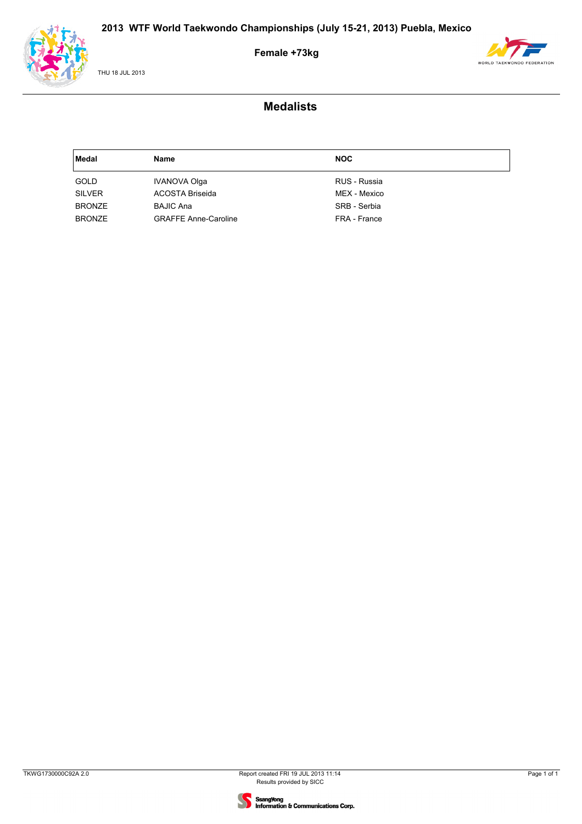

THU 18 JUL 2013

### **Female +73kg**



| Medal         | Name                        | <b>NOC</b>   |
|---------------|-----------------------------|--------------|
| GOLD          | <b>IVANOVA Olga</b>         | RUS - Russia |
| <b>SILVER</b> | ACOSTA Briseida             | MEX - Mexico |
| <b>BRONZE</b> | <b>BAJIC Ana</b>            | SRB - Serbia |
| <b>BRONZE</b> | <b>GRAFFE Anne-Caroline</b> | FRA - France |

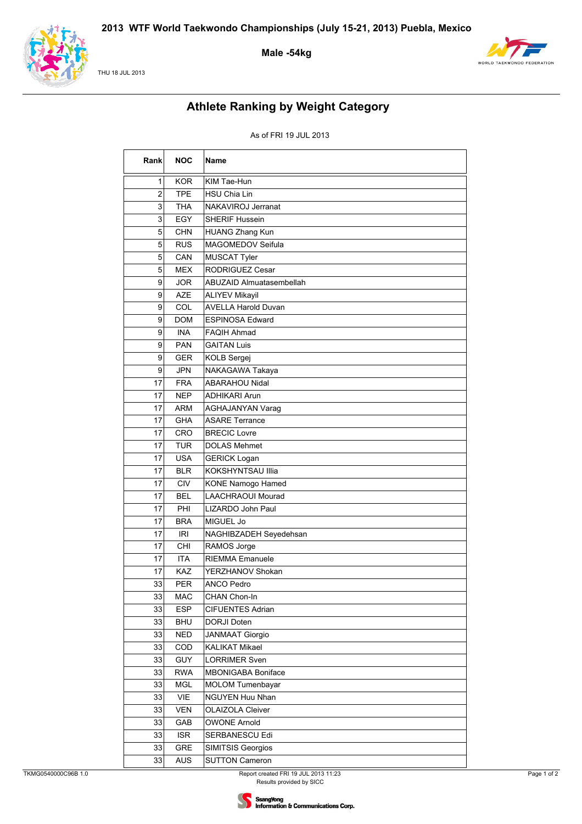

#### THU 18 JUL 2013

Male-54kg



# **Athlete Ranking by Weight Category**

### As of FRI 19 JUL 2013

| Rank | <b>NOC</b> | <b>Name</b>                     |
|------|------------|---------------------------------|
| 1    | <b>KOR</b> | KIM Tae-Hun                     |
| 2    | <b>TPE</b> | <b>HSU Chia Lin</b>             |
| 3    | <b>THA</b> | NAKAVIROJ Jerranat              |
| 3    | <b>EGY</b> | <b>SHERIF Hussein</b>           |
| 5    | <b>CHN</b> | <b>HUANG Zhang Kun</b>          |
| 5    | <b>RUS</b> | MAGOMEDOV Seifula               |
| 5    | CAN        | <b>MUSCAT Tyler</b>             |
| 5    | <b>MEX</b> | RODRIGUEZ Cesar                 |
| 9    | <b>JOR</b> | <b>ABUZAID Almuatasembellah</b> |
| 9    | <b>AZE</b> | <b>ALIYEV Mikayil</b>           |
| 9    | COL        | <b>AVELLA Harold Duvan</b>      |
| 9    | <b>DOM</b> | <b>ESPINOSA Edward</b>          |
| 9    | <b>INA</b> | <b>FAQIH Ahmad</b>              |
| 9    | <b>PAN</b> | <b>GAITAN Luis</b>              |
| 9    | <b>GER</b> | <b>KOLB Sergej</b>              |
| 9    | <b>JPN</b> | NAKAGAWA Takaya                 |
| 17   | <b>FRA</b> | <b>ABARAHOU Nidal</b>           |
| 17   | <b>NEP</b> | <b>ADHIKARI Arun</b>            |
| 17   | ARM        | <b>AGHAJANYAN Varag</b>         |
| 17   | <b>GHA</b> | <b>ASARE Terrance</b>           |
| 17   | CRO        | <b>BRECIC Lovre</b>             |
| 17   | <b>TUR</b> | <b>DOLAS Mehmet</b>             |
| 17   | <b>USA</b> | <b>GERICK Logan</b>             |
| 17   | <b>BLR</b> | KOKSHYNTSAU Illia               |
| 17   | <b>CIV</b> | <b>KONE Namogo Hamed</b>        |
| 17   | <b>BEL</b> | <b>LAACHRAOUI Mourad</b>        |
| 17   | PHI        | LIZARDO John Paul               |
| 17   | <b>BRA</b> | MIGUEL Jo                       |
| 17   | <b>IRI</b> | NAGHIBZADEH Seyedehsan          |
| 17   | CHI        | RAMOS Jorge                     |
| 17   | <b>ITA</b> | <b>RIEMMA Emanuele</b>          |
| 17   | <b>KAZ</b> | YERZHANOV Shokan                |
| 33   | <b>PER</b> | ANCO Pedro                      |
| 33   | <b>MAC</b> | CHAN Chon-In                    |
| 33   | <b>ESP</b> | <b>CIFUENTES Adrian</b>         |
| 33   | <b>BHU</b> | DORJI Doten                     |
| 33   | <b>NED</b> | <b>JANMAAT Giorgio</b>          |
| 33   | COD        | <b>KALIKAT Mikael</b>           |
| 33   | <b>GUY</b> | <b>LORRIMER Sven</b>            |
| 33   | <b>RWA</b> | <b>MBONIGABA Boniface</b>       |
| 33   | <b>MGL</b> | <b>MOLOM Tumenbayar</b>         |
| 33   | VIE        | NGUYEN Huu Nhan                 |
| 33   | <b>VEN</b> | <b>OLAIZOLA Cleiver</b>         |
| 33   | GAB        | <b>OWONE Arnold</b>             |
| 33   | <b>ISR</b> | SERBANESCU Edi                  |
| 33   | <b>GRE</b> | SIMITSIS Georgios               |
| 33   | <b>AUS</b> | <b>SUTTON Cameron</b>           |

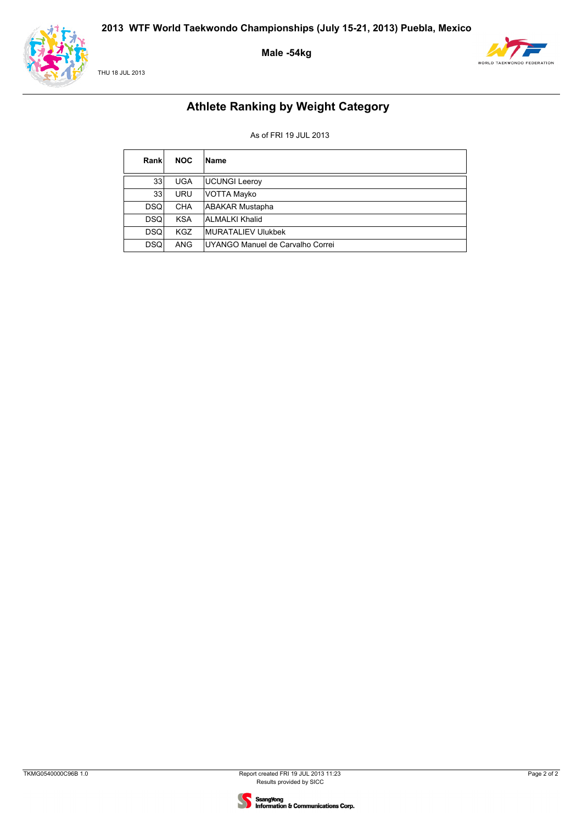





# **Athlete Ranking by Weight Category**

### As of FRI 19 JUL 2013

| Rankl           | <b>NOC</b> | Name                             |
|-----------------|------------|----------------------------------|
| 33 <sub>1</sub> | <b>UGA</b> | <b>UCUNGI Leeroy</b>             |
| 33 <sub>1</sub> | <b>URU</b> | <b>VOTTA Mayko</b>               |
| <b>DSQ</b>      | <b>CHA</b> | <b>ABAKAR Mustapha</b>           |
| <b>DSQ</b>      | <b>KSA</b> | ALMALKI Khalid                   |
| <b>DSQ</b>      | KGZ.       | MURATALIEV Ulukbek               |
| <b>DSQ</b>      | ANG        | UYANGO Manuel de Carvalho Correi |

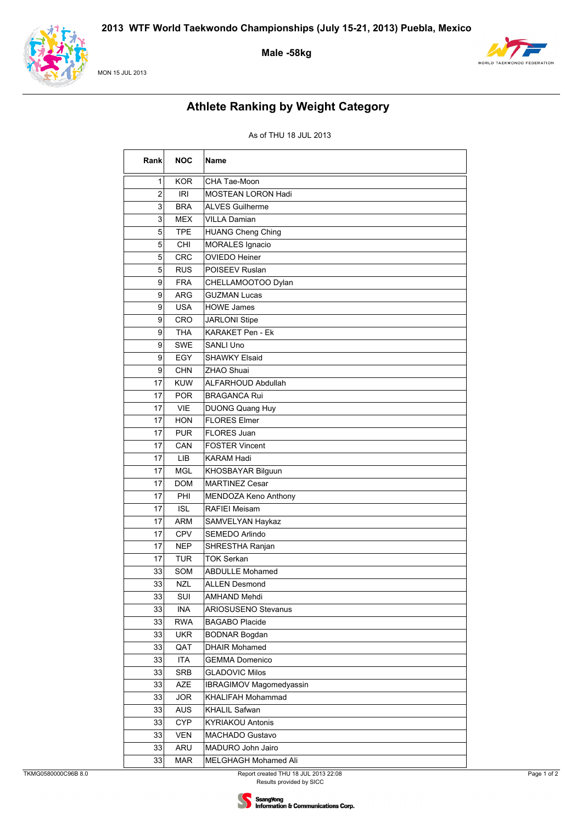

MON 15 JUL 2013

### **Male -58kg**



# **Athlete Ranking by Weight Category**

| Rank | <b>NOC</b> | <b>Name</b>               |
|------|------------|---------------------------|
| 1    | <b>KOR</b> | CHA Tae-Moon              |
| 2    | IRI        | MOSTEAN LORON Hadi        |
| 3    | <b>BRA</b> | <b>ALVES Guilherme</b>    |
| 3    | <b>MEX</b> | <b>VILLA Damian</b>       |
| 5    | <b>TPE</b> | <b>HUANG Cheng Ching</b>  |
| 5    | CHI        | <b>MORALES Ignacio</b>    |
| 5    | <b>CRC</b> | <b>OVIEDO Heiner</b>      |
| 5    | <b>RUS</b> | POISEEV Ruslan            |
| 9    | <b>FRA</b> | CHELLAMOOTOO Dylan        |
| 9    | <b>ARG</b> | <b>GUZMAN Lucas</b>       |
| 9    | <b>USA</b> | <b>HOWE James</b>         |
| 9    | CRO        | <b>JARLONI Stipe</b>      |
| 9    | <b>THA</b> | KARAKET Pen - Ek          |
| 9    | SWE        | <b>SANLI Uno</b>          |
| 9    | <b>EGY</b> | <b>SHAWKY Elsaid</b>      |
| 9    | <b>CHN</b> | ZHAO Shuai                |
| 17   | <b>KUW</b> | <b>ALFARHOUD Abdullah</b> |
| 17   | <b>POR</b> | <b>BRAGANCA Rui</b>       |
| 17   | <b>VIE</b> | <b>DUONG Quang Huy</b>    |
| 17   | <b>HON</b> | <b>FLORES Elmer</b>       |
| 17   | <b>PUR</b> | <b>FLORES Juan</b>        |
| 17   | CAN        | <b>FOSTER Vincent</b>     |
| 17   | <b>LIB</b> | <b>KARAM Hadi</b>         |
| 17   | <b>MGL</b> | KHOSBAYAR Bilguun         |
| 17   | <b>DOM</b> | <b>MARTINEZ Cesar</b>     |
| 17   | PHI        | MENDOZA Keno Anthony      |
| 17   | <b>ISL</b> | <b>RAFIEI Meisam</b>      |
| 17   | <b>ARM</b> | SAMVELYAN Haykaz          |
| 17   | <b>CPV</b> | SEMEDO Arlindo            |
| 17   | <b>NEP</b> | SHRESTHA Ranjan           |
| 17   | <b>TUR</b> | <b>TOK Serkan</b>         |
| 33   | SOM        | <b>ABDULLE Mohamed</b>    |
| 33   | <b>NZL</b> | <b>ALLEN Desmond</b>      |
| 33   | SUI        | <b>AMHAND Mehdi</b>       |
| 33   | <b>INA</b> | ARIOSUSENO Stevanus       |
| 33   | <b>RWA</b> | <b>BAGABO Placide</b>     |
| 33   | <b>UKR</b> | <b>BODNAR Bogdan</b>      |
| 33   | QAT        | <b>DHAIR Mohamed</b>      |
| 33   | <b>ITA</b> | <b>GEMMA Domenico</b>     |
| 33   | <b>SRB</b> | <b>GLADOVIC Milos</b>     |
| 33   | AZE        | IBRAGIMOV Magomedyassin   |
| 33   | <b>JOR</b> | KHALIFAH Mohammad         |
| 33   | <b>AUS</b> | KHALIL Safwan             |
| 33   | <b>CYP</b> | <b>KYRIAKOU Antonis</b>   |
| 33   | <b>VEN</b> | MACHADO Gustavo           |
| 33   | ARU        | MADURO John Jairo         |
| 33   | <b>MAR</b> | MELGHAGH Mohamed Ali      |

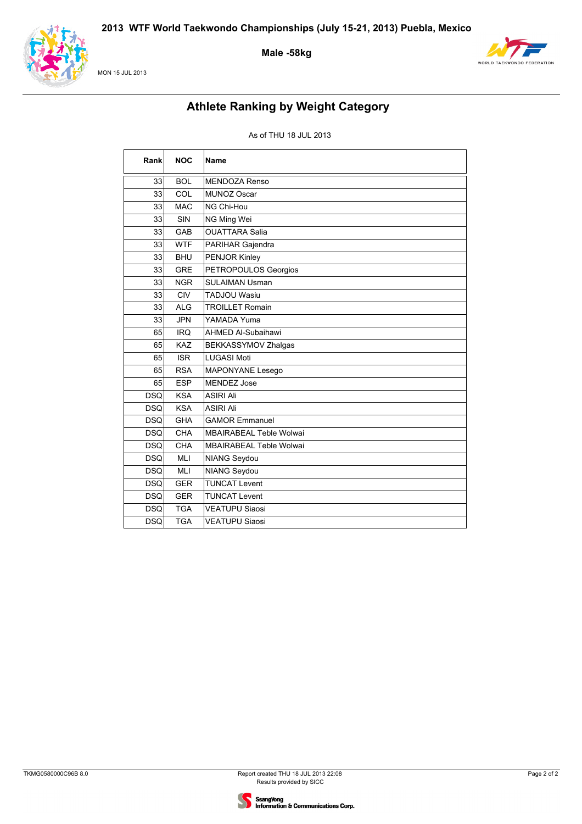

#### MON 15 JUL 2013

### Male-58kg



# **Athlete Ranking by Weight Category**

| Rank            | <b>NOC</b> | Name                           |
|-----------------|------------|--------------------------------|
| 33              | <b>BOL</b> | <b>MENDOZA Renso</b>           |
| 33              | COL        | <b>MUNOZ Oscar</b>             |
| 33              | <b>MAC</b> | NG Chi-Hou                     |
| 33              | SIN        | NG Ming Wei                    |
| 33              | GAB        | <b>OUATTARA Salia</b>          |
| 33              | <b>WTF</b> | PARIHAR Gajendra               |
| 33              | <b>BHU</b> | PENJOR Kinley                  |
| 33              | <b>GRE</b> | PETROPOULOS Georgios           |
| 33 <sup>°</sup> | <b>NGR</b> | <b>SULAIMAN Usman</b>          |
| 33              | CIV        | <b>TADJOU Wasiu</b>            |
| 33              | <b>ALG</b> | <b>TROILLET Romain</b>         |
| 33              | <b>JPN</b> | YAMADA Yuma                    |
| 65              | <b>IRQ</b> | <b>AHMED Al-Subaihawi</b>      |
| 65              | <b>KAZ</b> | BEKKASSYMOV Zhalgas            |
| 65              | <b>ISR</b> | <b>LUGASI Moti</b>             |
| 65              | <b>RSA</b> | MAPONYANE Lesego               |
| 65              | <b>ESP</b> | <b>MENDEZ Jose</b>             |
| <b>DSQ</b>      | <b>KSA</b> | <b>ASIRI Ali</b>               |
| <b>DSQ</b>      | <b>KSA</b> | <b>ASIRI Ali</b>               |
| <b>DSQ</b>      | <b>GHA</b> | <b>GAMOR Emmanuel</b>          |
| <b>DSQ</b>      | CHA        | MBAIRABEAL Teble Wolwai        |
| <b>DSQ</b>      | <b>CHA</b> | <b>MBAIRABEAL Teble Wolwai</b> |
| <b>DSQ</b>      | <b>MLI</b> | <b>NIANG Seydou</b>            |
| <b>DSQ</b>      | <b>MLI</b> | <b>NIANG Seydou</b>            |
| <b>DSQ</b>      | <b>GER</b> | <b>TUNCAT Levent</b>           |
| <b>DSQ</b>      | <b>GER</b> | <b>TUNCAT Levent</b>           |
| <b>DSQ</b>      | <b>TGA</b> | <b>VEATUPU Siaosi</b>          |
| <b>DSQ</b>      | <b>TGA</b> | <b>VEATUPU Siaosi</b>          |

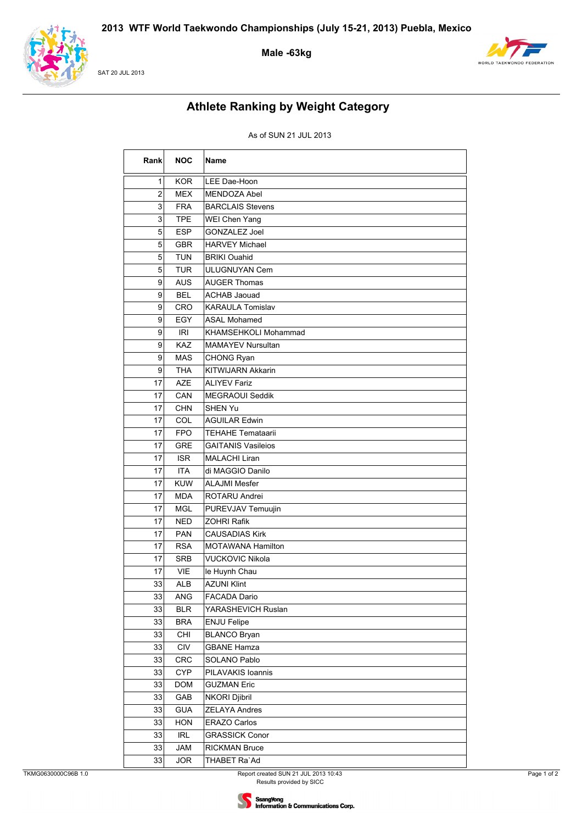

SAT 20 JUL 2013

Male -63kg



# **Athlete Ranking by Weight Category**

### As of SUN 21 JUL 2013

| Rank | <b>NOC</b> | Name                      |
|------|------------|---------------------------|
| 1    | <b>KOR</b> | LEE Dae-Hoon              |
| 2    | MEX        | <b>MENDOZA Abel</b>       |
| 3    | <b>FRA</b> | <b>BARCLAIS Stevens</b>   |
| 3    | <b>TPE</b> | WEI Chen Yang             |
| 5    | <b>ESP</b> | <b>GONZALEZ Joel</b>      |
| 5    | <b>GBR</b> | <b>HARVEY Michael</b>     |
| 5    | <b>TUN</b> | <b>BRIKI Ouahid</b>       |
| 5    | <b>TUR</b> | <b>ULUGNUYAN Cem</b>      |
| 9    | <b>AUS</b> | <b>AUGER Thomas</b>       |
| 9    | <b>BEL</b> | <b>ACHAB Jaouad</b>       |
| 9    | CRO        | <b>KARAULA Tomislav</b>   |
| 9    | EGY        | <b>ASAL Mohamed</b>       |
| 9    | <b>IRI</b> | KHAMSEHKOLI Mohammad      |
| 9    | <b>KAZ</b> | <b>MAMAYEV Nursultan</b>  |
| 9    | <b>MAS</b> | CHONG Ryan                |
| 9    | <b>THA</b> | KITWIJARN Akkarin         |
| 17   | <b>AZE</b> | <b>ALIYEV Fariz</b>       |
| 17   | CAN        | <b>MEGRAOUI Seddik</b>    |
| 17   | <b>CHN</b> | <b>SHEN Yu</b>            |
| 17   | COL        | <b>AGUILAR Edwin</b>      |
| 17   | <b>FPO</b> | <b>TEHAHE Temataarii</b>  |
| 17   | <b>GRE</b> | <b>GAITANIS Vasileios</b> |
| 17   | <b>ISR</b> | <b>MALACHI Liran</b>      |
| 17   | <b>ITA</b> | di MAGGIO Danilo          |
| 17   | <b>KUW</b> | <b>ALAJMI Mesfer</b>      |
| 17   | <b>MDA</b> | ROTARU Andrei             |
| 17   | <b>MGL</b> | PUREVJAV Temuujin         |
| 17   | <b>NED</b> | <b>ZOHRI Rafik</b>        |
| 17   | <b>PAN</b> | <b>CAUSADIAS Kirk</b>     |
| 17   | <b>RSA</b> | <b>MOTAWANA Hamilton</b>  |
| 17   | <b>SRB</b> | <b>VUCKOVIC Nikola</b>    |
| 17   | <b>VIE</b> | le Huynh Chau             |
| 33   | ALB        | <b>AZUNI Klint</b>        |
| 33   | ANG        | FACADA Dario              |
| 33   | <b>BLR</b> | YARASHEVICH Ruslan        |
| 33   | <b>BRA</b> | ENJU Felipe               |
| 33   | CHI        | <b>BLANCO Bryan</b>       |
| 33   | CIV        | <b>GBANE Hamza</b>        |
| 33   | CRC        | SOLANO Pablo              |
| 33   | <b>CYP</b> | PILAVAKIS Ioannis         |
| 33   | <b>DOM</b> | <b>GUZMAN Eric</b>        |
| 33   | GAB        | NKORI Djibril             |
| 33   | <b>GUA</b> | <b>ZELAYA Andres</b>      |
| 33   | <b>HON</b> | <b>ERAZO Carlos</b>       |
| 33   | <b>IRL</b> | <b>GRASSICK Conor</b>     |
| 33   | JAM        | RICKMAN Bruce             |
| 33   | <b>JOR</b> | THABET Ra`Ad              |

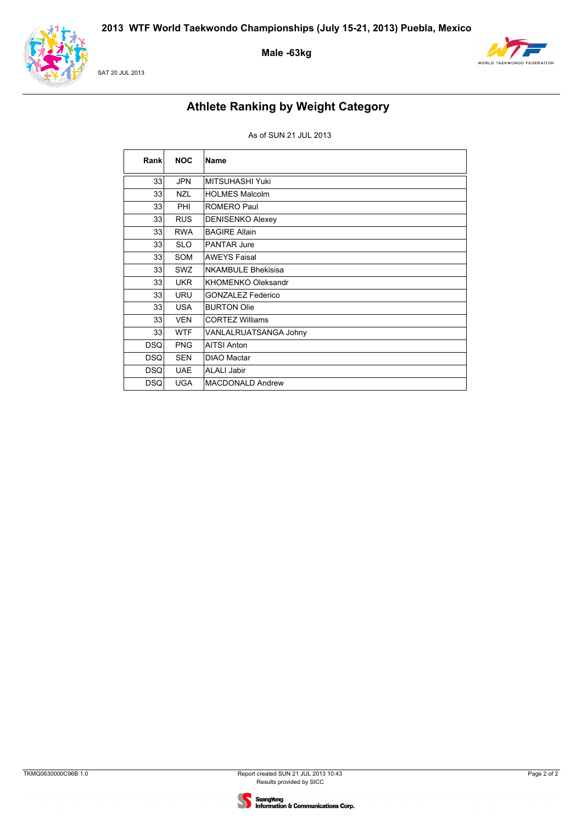

SAT 20 JUL 2013

**Male -63kg**



# **Athlete Ranking by Weight Category**

### As of SUN 21 JUL 2013

| Rankl      | <b>NOC</b> | Name                      |
|------------|------------|---------------------------|
| 33         | <b>JPN</b> | MITSUHASHI Yuki           |
| 33         | <b>NZL</b> | <b>HOLMES Malcolm</b>     |
| 33         | PHI        | ROMERO Paul               |
| 33         | <b>RUS</b> | <b>DENISENKO Alexey</b>   |
| 33         | <b>RWA</b> | <b>BAGIRE Allain</b>      |
| 33         | <b>SLO</b> | <b>PANTAR Jure</b>        |
| 33         | <b>SOM</b> | <b>AWEYS Faisal</b>       |
| 33         | SWZ        | <b>NKAMBULE Bhekisisa</b> |
| 33         | <b>UKR</b> | KHOMENKO Oleksandr        |
| 33         | <b>URU</b> | <b>GONZALEZ Federico</b>  |
| 33         | <b>USA</b> | <b>BURTON Olie</b>        |
| 33         | <b>VEN</b> | <b>CORTEZ Williams</b>    |
| 33         | <b>WTF</b> | VANLALRUATSANGA Johny     |
| <b>DSQ</b> | <b>PNG</b> | <b>AITSI Anton</b>        |
| <b>DSQ</b> | <b>SEN</b> | <b>DIAO Mactar</b>        |
| <b>DSQ</b> | <b>UAE</b> | <b>ALALI Jabir</b>        |
| <b>DSQ</b> | <b>UGA</b> | <b>MACDONALD Andrew</b>   |

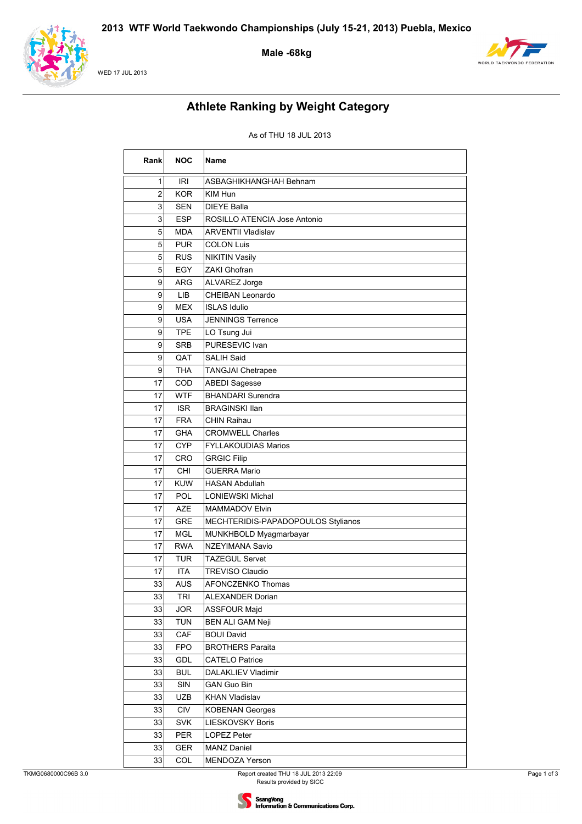

#### WED 17 JUL 2013

### Male -68kg



# **Athlete Ranking by Weight Category**

| Rank           | <b>NOC</b> | Name                               |
|----------------|------------|------------------------------------|
| 1              | IRI        | ASBAGHIKHANGHAH Behnam             |
| $\overline{2}$ | <b>KOR</b> | KIM Hun                            |
| 3              | SEN        | <b>DIEYE Balla</b>                 |
| 3              | <b>ESP</b> | ROSILLO ATENCIA Jose Antonio       |
| 5              | <b>MDA</b> | <b>ARVENTII Vladislav</b>          |
| 5              | <b>PUR</b> | <b>COLON Luis</b>                  |
| 5              | <b>RUS</b> | <b>NIKITIN Vasily</b>              |
| 5              | EGY        | ZAKI Ghofran                       |
| 9              | ARG        | <b>ALVAREZ Jorge</b>               |
| 9              | LIB        | CHEIBAN Leonardo                   |
| 9              | <b>MEX</b> | <b>ISLAS Idulio</b>                |
| 9              | <b>USA</b> | <b>JENNINGS Terrence</b>           |
| 9              | <b>TPE</b> | LO Tsung Jui                       |
| 9              | <b>SRB</b> | PURESEVIC Ivan                     |
| 9              | QAT        | <b>SALIH Said</b>                  |
| 9              | THA        | <b>TANGJAI Chetrapee</b>           |
| 17             | COD        | <b>ABEDI Sagesse</b>               |
| 17             | <b>WTF</b> | <b>BHANDARI</b> Surendra           |
| 17             | <b>ISR</b> | <b>BRAGINSKI Ilan</b>              |
| 17             | <b>FRA</b> | CHIN Raihau                        |
| 17             | <b>GHA</b> | <b>CROMWELL Charles</b>            |
| 17             | <b>CYP</b> | <b>FYLLAKOUDIAS Marios</b>         |
| 17             | CRO        | <b>GRGIC Filip</b>                 |
| 17             | CHI        | <b>GUERRA Mario</b>                |
| 17             | <b>KUW</b> | <b>HASAN Abdullah</b>              |
| 17             | <b>POL</b> | <b>LONIEWSKI Michal</b>            |
| 17             | <b>AZE</b> | <b>MAMMADOV Elvin</b>              |
| 17             | <b>GRE</b> | MECHTERIDIS-PAPADOPOULOS Stylianos |
| 17             | MGL        | MUNKHBOLD Myagmarbayar             |
| 17             | <b>RWA</b> | NZEYIMANA Savio                    |
| 17             | TUR        | TAZEGUL Servet                     |
| 17             | <b>ITA</b> | <b>TREVISO Claudio</b>             |
| 33             | AUS        | <b>AFONCZENKO Thomas</b>           |
| 33             | <b>TRI</b> | <b>ALEXANDER Dorian</b>            |
| 33             | <b>JOR</b> | <b>ASSFOUR Majd</b>                |
| 33             | <b>TUN</b> | <b>BEN ALI GAM Neji</b>            |
| 33             | CAF        | <b>BOUI David</b>                  |
| 33             | <b>FPO</b> | <b>BROTHERS Paraita</b>            |
| 33             | GDL        | <b>CATELO Patrice</b>              |
| 33             | <b>BUL</b> | DALAKLIEV Vladimir                 |
| 33             | SIN        | <b>GAN Guo Bin</b>                 |
| 33             | UZB        | <b>KHAN Vladislav</b>              |
| 33             | <b>CIV</b> | <b>KOBENAN Georges</b>             |
| 33             | <b>SVK</b> | LIESKOVSKY Boris                   |
| 33             | <b>PER</b> | LOPEZ Peter                        |
| 33             | GER        | <b>MANZ Daniel</b>                 |
| 33             | COL        | MENDOZA Yerson                     |

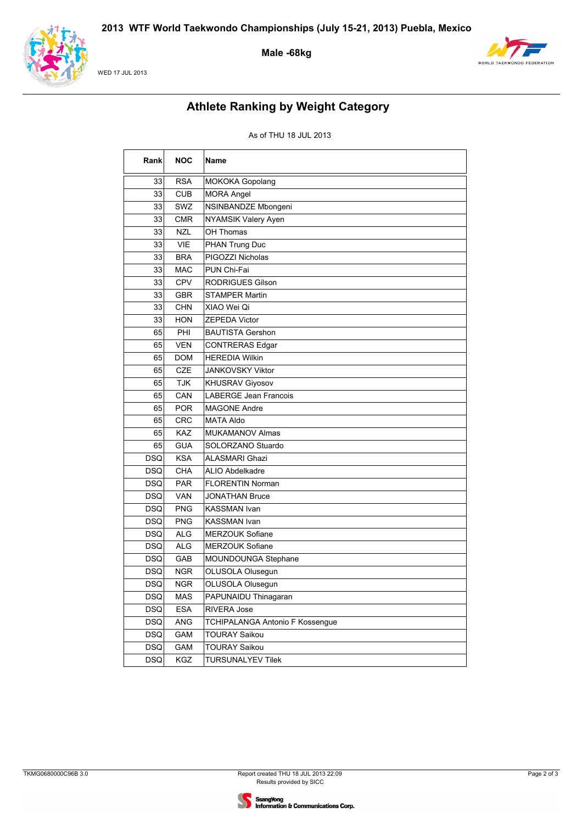

#### WED 17 JUL 2013

### **Male -68kg**



# **Athlete Ranking by Weight Category**

| Rank       | <b>NOC</b> | Name                            |
|------------|------------|---------------------------------|
| 33         | <b>RSA</b> | <b>MOKOKA Gopolang</b>          |
| 33         | <b>CUB</b> | <b>MORA Angel</b>               |
| 33         | SWZ        | NSINBANDZE Mbongeni             |
| 33         | <b>CMR</b> | NYAMSIK Valery Ayen             |
| 33         | <b>NZL</b> | OH Thomas                       |
| 33         | VIE        | PHAN Trung Duc                  |
| 33         | <b>BRA</b> | PIGOZZI Nicholas                |
| 33         | <b>MAC</b> | PUN Chi-Fai                     |
| 33         | <b>CPV</b> | <b>RODRIGUES Gilson</b>         |
| 33         | <b>GBR</b> | <b>STAMPER Martin</b>           |
| 33         | <b>CHN</b> | XIAO Wei Qi                     |
| 33         | <b>HON</b> | ZEPEDA Victor                   |
| 65         | PHI        | BAUTISTA Gershon                |
| 65         | <b>VEN</b> | <b>CONTRERAS Edgar</b>          |
| 65         | <b>DOM</b> | <b>HEREDIA Wilkin</b>           |
| 65         | <b>CZE</b> | <b>JANKOVSKY Viktor</b>         |
| 65         | <b>TJK</b> | <b>KHUSRAV Giyosov</b>          |
| 65         | CAN        | <b>LABERGE Jean Francois</b>    |
| 65         | <b>POR</b> | <b>MAGONE Andre</b>             |
| 65         | <b>CRC</b> | MATA Aldo                       |
| 65         | <b>KAZ</b> | <b>MUKAMANOV Almas</b>          |
| 65         | <b>GUA</b> | SOLORZANO Stuardo               |
| <b>DSQ</b> | <b>KSA</b> | <b>ALASMARI Ghazi</b>           |
| <b>DSQ</b> | <b>CHA</b> | <b>ALIO Abdelkadre</b>          |
| DSQ        | <b>PAR</b> | <b>FLORENTIN Norman</b>         |
| <b>DSQ</b> | <b>VAN</b> | JONATHAN Bruce                  |
| DSQl       | <b>PNG</b> | KASSMAN Ivan                    |
| DSQ        | <b>PNG</b> | <b>KASSMAN Ivan</b>             |
| <b>DSQ</b> | <b>ALG</b> | MERZOUK Sofiane                 |
| DSQ        | <b>ALG</b> | <b>MERZOUK Sofiane</b>          |
| <b>DSQ</b> | GAB        | MOUNDOUNGA Stephane             |
| DSQ        | <b>NGR</b> | OLUSOLA Olusegun                |
| <b>DSQ</b> | <b>NGR</b> | OLUSOLA Olusegun                |
| <b>DSQ</b> | <b>MAS</b> | PAPUNAIDU Thinagaran            |
| <b>DSQ</b> | ESA        | RIVERA Jose                     |
| DSQ        | ANG        | TCHIPALANGA Antonio F Kossengue |
| <b>DSQ</b> | GAM        | <b>TOURAY Saikou</b>            |
| <b>DSQ</b> | GAM        | <b>TOURAY Saikou</b>            |
| <b>DSQ</b> | KGZ        | <b>TURSUNALYEV Tilek</b>        |

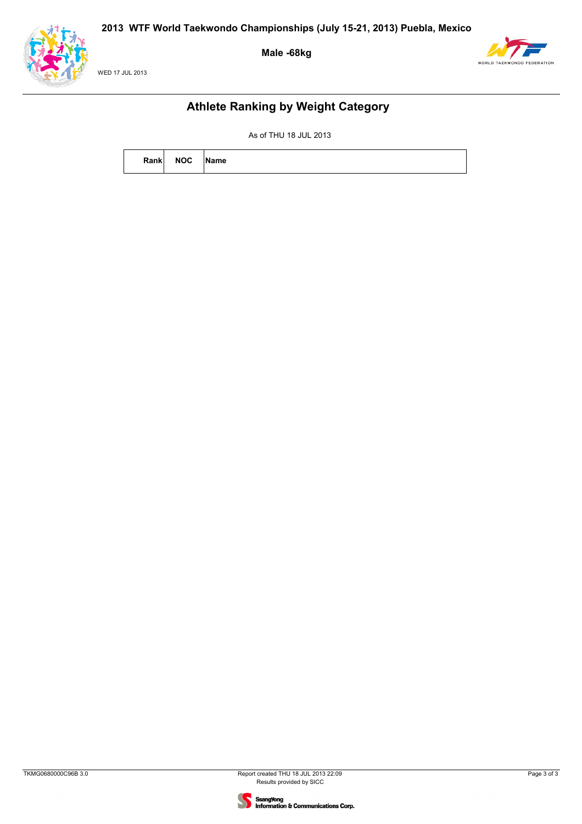





### **Athlete Ranking by Weight Category**

| Rank | <b>NOC</b> | ame |
|------|------------|-----|
|      |            |     |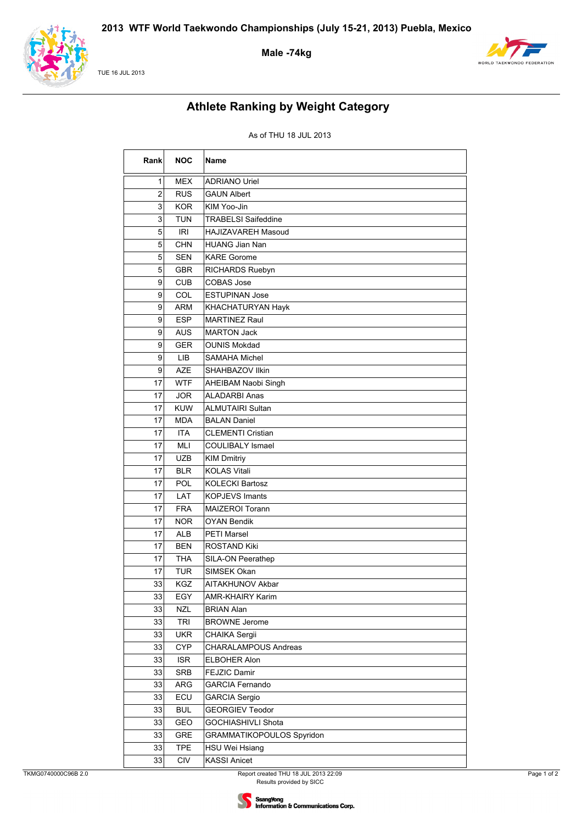

TUE 16 JUL 2013

### **Male -74kg**



# **Athlete Ranking by Weight Category**

| Rank | <b>NOC</b> | <b>Name</b>                      |
|------|------------|----------------------------------|
| 1    | <b>MEX</b> | <b>ADRIANO Uriel</b>             |
| 2    | <b>RUS</b> | <b>GAUN Albert</b>               |
| 3    | <b>KOR</b> | KIM Yoo-Jin                      |
| 3    | <b>TUN</b> | <b>TRABELSI Saifeddine</b>       |
| 5    | <b>IRI</b> | HAJIZAVAREH Masoud               |
| 5    | <b>CHN</b> | HUANG Jian Nan                   |
| 5    | <b>SEN</b> | <b>KARE Gorome</b>               |
| 5    | <b>GBR</b> | RICHARDS Ruebyn                  |
| 9    | <b>CUB</b> | <b>COBAS Jose</b>                |
| 9    | COL        | <b>ESTUPINAN Jose</b>            |
| 9    | <b>ARM</b> | KHACHATURYAN Hayk                |
| 9    | <b>ESP</b> | <b>MARTINEZ Raul</b>             |
| 9    | <b>AUS</b> | <b>MARTON Jack</b>               |
| 9    | <b>GER</b> | <b>OUNIS Mokdad</b>              |
| 9    | LIB        | SAMAHA Michel                    |
| 9    | <b>AZE</b> | SHAHBAZOV Ilkin                  |
| 17   | <b>WTF</b> | AHEIBAM Naobi Singh              |
| 17   | <b>JOR</b> | <b>ALADARBI Anas</b>             |
| 17   | <b>KUW</b> | ALMUTAIRI Sultan                 |
| 17   | <b>MDA</b> | <b>BALAN Daniel</b>              |
| 17   | <b>ITA</b> | <b>CLEMENTI Cristian</b>         |
| 17   | MLI        | <b>COULIBALY Ismael</b>          |
| 17   | <b>UZB</b> | <b>KIM Dmitriy</b>               |
| 17   | <b>BLR</b> | <b>KOLAS Vitali</b>              |
| 17   | POL        | <b>KOLECKI Bartosz</b>           |
| 17   | LAT        | <b>KOPJEVS Imants</b>            |
| 17   | <b>FRA</b> | MAIZEROI Torann                  |
| 17   | <b>NOR</b> | <b>OYAN Bendik</b>               |
| 17   | <b>ALB</b> | PETI Marsel                      |
| 17   | <b>BEN</b> | <b>ROSTAND Kiki</b>              |
| 17   | THA        | SILA-ON Peerathep                |
| 17   | <b>TUR</b> | SIMSEK Okan                      |
| 33   | KGZ        | AITAKHUNOV Akbar                 |
| 33   | EGY        | AMR-KHAIRY Karim                 |
| 33   | <b>NZL</b> | <b>BRIAN Alan</b>                |
| 33   | TRI        | <b>BROWNE Jerome</b>             |
| 33   | <b>UKR</b> | CHAIKA Sergii                    |
| 33   | <b>CYP</b> | <b>CHARALAMPOUS Andreas</b>      |
| 33   | <b>ISR</b> | ELBOHER Alon                     |
| 33   | <b>SRB</b> | FEJZIC Damir                     |
| 33   | ARG        | <b>GARCIA Fernando</b>           |
| 33   | ECU        | <b>GARCIA Sergio</b>             |
| 33   | <b>BUL</b> | <b>GEORGIEV Teodor</b>           |
| 33   | GEO        | GOCHIASHIVLI Shota               |
| 33   | <b>GRE</b> | <b>GRAMMATIKOPOULOS Spyridon</b> |
| 33   | <b>TPE</b> | HSU Wei Hsiang                   |
| 33   | CIV        | <b>KASSI Anicet</b>              |

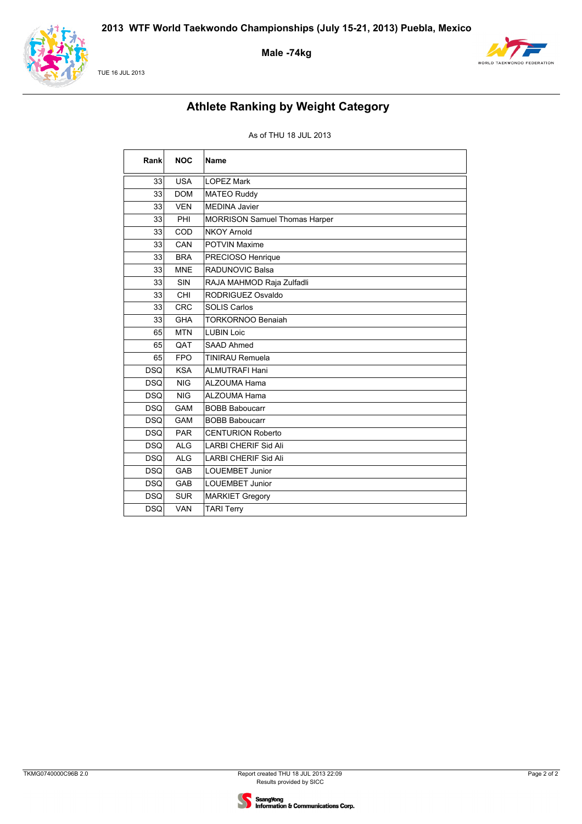

TUE 16 JUL 2013

**Male -74kg**



# **Athlete Ranking by Weight Category**

| Rank       | <b>NOC</b> | <b>Name</b>                          |
|------------|------------|--------------------------------------|
| 33         | <b>USA</b> | <b>LOPEZ Mark</b>                    |
| 33         | <b>DOM</b> | <b>MATEO Ruddy</b>                   |
| 33         | <b>VEN</b> | <b>MEDINA Javier</b>                 |
| 33         | PHI        | <b>MORRISON Samuel Thomas Harper</b> |
| 33         | COD        | <b>NKOY Arnold</b>                   |
| 33         | CAN        | <b>POTVIN Maxime</b>                 |
| 33         | <b>BRA</b> | PRECIOSO Henrique                    |
| 33         | <b>MNE</b> | RADUNOVIC Balsa                      |
| 33         | SIN        | RAJA MAHMOD Raja Zulfadli            |
| 33         | CHI        | RODRIGUEZ Osvaldo                    |
| 33         | <b>CRC</b> | <b>SOLIS Carlos</b>                  |
| 33         | <b>GHA</b> | <b>TORKORNOO Benaiah</b>             |
| 65         | <b>MTN</b> | <b>LUBIN Loic</b>                    |
| 65         | QAT        | SAAD Ahmed                           |
| 65         | <b>FPO</b> | <b>TINIRAU Remuela</b>               |
| <b>DSQ</b> | <b>KSA</b> | <b>ALMUTRAFI Hani</b>                |
| <b>DSQ</b> | <b>NIG</b> | <b>ALZOUMA Hama</b>                  |
| <b>DSQ</b> | <b>NIG</b> | <b>ALZOUMA Hama</b>                  |
| <b>DSQ</b> | <b>GAM</b> | <b>BOBB Baboucarr</b>                |
| <b>DSQ</b> | <b>GAM</b> | <b>BOBB Baboucarr</b>                |
| <b>DSQ</b> | <b>PAR</b> | <b>CENTURION Roberto</b>             |
| <b>DSQ</b> | <b>ALG</b> | <b>LARBI CHERIF Sid Ali</b>          |
| <b>DSQ</b> | <b>ALG</b> | <b>LARBI CHERIF Sid Ali</b>          |
| <b>DSQ</b> | GAB        | <b>LOUEMBET Junior</b>               |
| <b>DSQ</b> | <b>GAB</b> | <b>LOUEMBET Junior</b>               |
| <b>DSQ</b> | <b>SUR</b> | <b>MARKIET Gregory</b>               |
| <b>DSQ</b> | <b>VAN</b> | <b>TARI Terry</b>                    |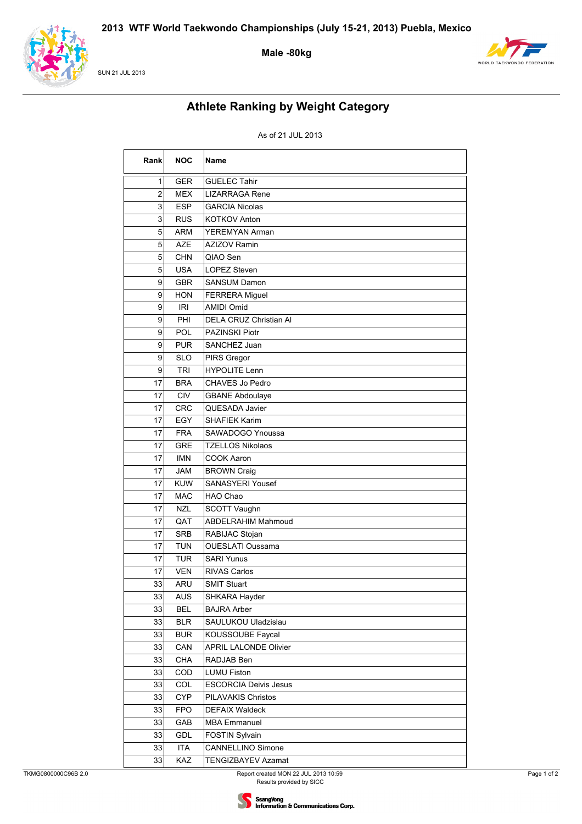

**SUN 21 JUL 2013** 

Male-80kg



# **Athlete Ranking by Weight Category**

### As of 21 JUL 2013

| Rank | <b>NOC</b> | Name                         |
|------|------------|------------------------------|
| 1    | <b>GER</b> | <b>GUELEC Tahir</b>          |
| 2    | MEX        | LIZARRAGA Rene               |
| 3    | <b>ESP</b> | <b>GARCIA Nicolas</b>        |
| 3    | <b>RUS</b> | <b>KOTKOV Anton</b>          |
| 5    | <b>ARM</b> | YEREMYAN Arman               |
| 5    | <b>AZE</b> | <b>AZIZOV Ramin</b>          |
| 5    | <b>CHN</b> | QIAO Sen                     |
| 5    | <b>USA</b> | <b>LOPEZ Steven</b>          |
| 9    | <b>GBR</b> | <b>SANSUM Damon</b>          |
| 9    | <b>HON</b> | <b>FERRERA Miguel</b>        |
| 9    | <b>IRI</b> | <b>AMIDI Omid</b>            |
| 9    | PHI        | DELA CRUZ Christian Al       |
| 9    | POL        | PAZINSKI Piotr               |
| 9    | <b>PUR</b> | SANCHEZ Juan                 |
| 9    | <b>SLO</b> | PIRS Gregor                  |
| 9    | <b>TRI</b> | <b>HYPOLITE Lenn</b>         |
| 17   | <b>BRA</b> | CHAVES Jo Pedro              |
| 17   | <b>CIV</b> | <b>GBANE Abdoulaye</b>       |
| 17   | <b>CRC</b> | QUESADA Javier               |
| 17   | EGY        | <b>SHAFIEK Karim</b>         |
| 17   | <b>FRA</b> | SAWADOGO Ynoussa             |
| 17   | <b>GRE</b> | <b>TZELLOS Nikolaos</b>      |
| 17   | <b>IMN</b> | COOK Aaron                   |
| 17   | <b>JAM</b> | <b>BROWN Craig</b>           |
| 17   | <b>KUW</b> | SANASYERI Yousef             |
| 17   | <b>MAC</b> | HAO Chao                     |
| 17   | <b>NZL</b> | SCOTT Vaughn                 |
| 17   | QAT        | <b>ABDELRAHIM Mahmoud</b>    |
| 17   | <b>SRB</b> | RABIJAC Stojan               |
| 17   | <b>TUN</b> | <b>OUESLATI Oussama</b>      |
| 17   | TUR        | <b>SARI Yunus</b>            |
| 17   | <b>VEN</b> | <b>RIVAS Carlos</b>          |
| 33   | ARU        | <b>SMIT Stuart</b>           |
| 33   | AUS        | SHKARA Hayder                |
| 33   | <b>BEL</b> | <b>BAJRA Arber</b>           |
| 33   | <b>BLR</b> | SAULUKOU Uladzislau          |
| 33   | <b>BUR</b> | KOUSSOUBE Faycal             |
| 33   | CAN        | <b>APRIL LALONDE Olivier</b> |
| 33   | CHA        | RADJAB Ben                   |
| 33   | COD        | LUMU Fiston                  |
| 33   | COL        | <b>ESCORCIA Deivis Jesus</b> |
| 33   | <b>CYP</b> | PILAVAKIS Christos           |
| 33   | <b>FPO</b> | <b>DEFAIX Waldeck</b>        |
| 33   | GAB        | <b>MBA Emmanuel</b>          |
| 33   | <b>GDL</b> | <b>FOSTIN Sylvain</b>        |
| 33   | <b>ITA</b> | CANNELLINO Simone            |
| 33   | KAZ        | TENGIZBAYEV Azamat           |

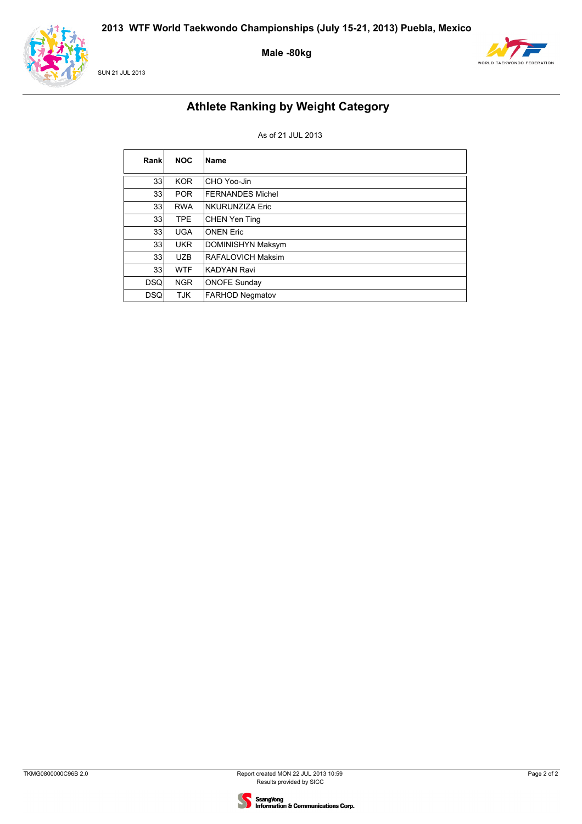

SUN 21 JUL 2013

**Male -80kg**



# **Athlete Ranking by Weight Category**

### As of 21 JUL 2013

| Rank            | <b>NOC</b> | Name                     |
|-----------------|------------|--------------------------|
| 33 <sub>1</sub> | <b>KOR</b> | CHO Yoo-Jin              |
| 33 <sub>1</sub> | <b>POR</b> | <b>FERNANDES Michel</b>  |
| 33 <sub>1</sub> | <b>RWA</b> | NKURUNZIZA Eric          |
| 33 <sub>1</sub> | <b>TPE</b> | <b>CHEN Yen Ting</b>     |
| 33 <sub>1</sub> | <b>UGA</b> | <b>ONEN Eric</b>         |
| 33 <sub>1</sub> | <b>UKR</b> | <b>DOMINISHYN Maksym</b> |
| 33 <sub>1</sub> | <b>UZB</b> | <b>RAFALOVICH Maksim</b> |
| 33              | <b>WTF</b> | <b>KADYAN Ravi</b>       |
| <b>DSQ</b>      | <b>NGR</b> | <b>ONOFE Sunday</b>      |
| <b>DSQ</b>      | <b>TJK</b> | <b>FARHOD Negmatov</b>   |

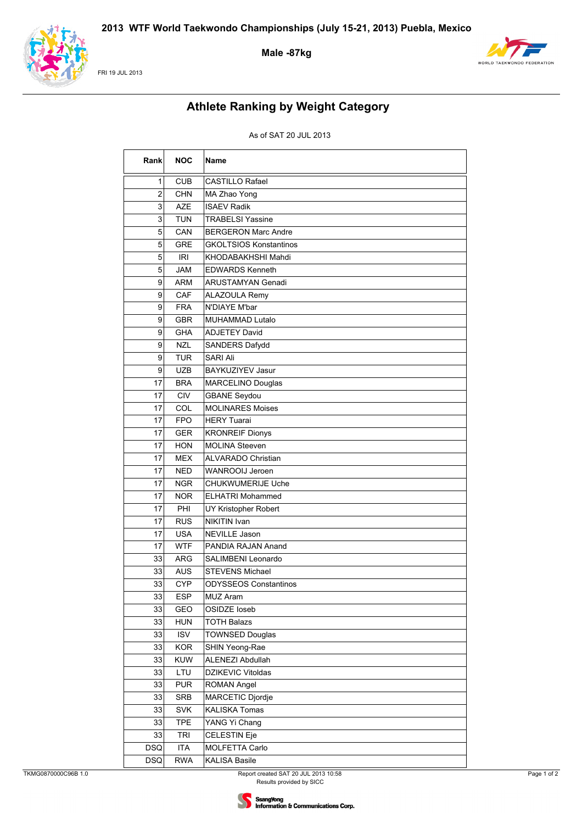

FRI 19 JUL 2013

### **Male -87kg**



# **Athlete Ranking by Weight Category**

| Rank           | <b>NOC</b> | Name                          |
|----------------|------------|-------------------------------|
| 1              | <b>CUB</b> | <b>CASTILLO Rafael</b>        |
| $\overline{2}$ | <b>CHN</b> | MA Zhao Yong                  |
| 3              | <b>AZE</b> | <b>ISAEV Radik</b>            |
| 3              | <b>TUN</b> | <b>TRABELSI Yassine</b>       |
| 5              | CAN        | <b>BERGERON Marc Andre</b>    |
| 5              | <b>GRE</b> | <b>GKOLTSIOS Konstantinos</b> |
| 5              | <b>IRI</b> | KHODABAKHSHI Mahdi            |
| 5              | <b>JAM</b> | <b>EDWARDS Kenneth</b>        |
| 9              | <b>ARM</b> | ARUSTAMYAN Genadi             |
| 9              | CAF        | <b>ALAZOULA Remy</b>          |
| 9              | <b>FRA</b> | N'DIAYE M'bar                 |
| 9              | <b>GBR</b> | MUHAMMAD Lutalo               |
| 9              | <b>GHA</b> | <b>ADJETEY David</b>          |
| 9              | <b>NZL</b> | SANDERS Dafydd                |
| 9              | <b>TUR</b> | <b>SARI Ali</b>               |
| 9              | <b>UZB</b> | <b>BAYKUZIYEV Jasur</b>       |
| 17             | <b>BRA</b> | <b>MARCELINO Douglas</b>      |
| 17             | <b>CIV</b> | <b>GBANE Seydou</b>           |
| 17             | COL        | <b>MOLINARES Moises</b>       |
| 17             | <b>FPO</b> | <b>HERY Tuarai</b>            |
| 17             | <b>GER</b> | <b>KRONREIF Dionys</b>        |
| 17             | <b>HON</b> | MOLINA Steeven                |
| 17             | <b>MEX</b> | <b>ALVARADO Christian</b>     |
| 17             | <b>NED</b> | WANROOIJ Jeroen               |
| 17             | <b>NGR</b> | CHUKWUMERIJE Uche             |
| 17             | <b>NOR</b> | <b>ELHATRI Mohammed</b>       |
| 17             | PHI        | UY Kristopher Robert          |
| 17             | <b>RUS</b> | NIKITIN Ivan                  |
| 17             | <b>USA</b> | NEVILLE Jason                 |
| 17             | <b>WTF</b> | PANDIA RAJAN Anand            |
| 33             | <b>ARG</b> | SALIMBENI Leonardo            |
| 33             | <b>AUS</b> | STEVENS Michael               |
| 33             | <b>CYP</b> | <b>ODYSSEOS Constantinos</b>  |
| 33             | <b>ESP</b> | MUZ Aram                      |
| 33             | GEO        | OSIDZE loseb                  |
| 33             | <b>HUN</b> | <b>TOTH Balazs</b>            |
| 33             | <b>ISV</b> | <b>TOWNSED Douglas</b>        |
| 33             | <b>KOR</b> | SHIN Yeong-Rae                |
| 33             | <b>KUW</b> | ALENEZI Abdullah              |
| 33             | LTU        | DZIKEVIC Vitoldas             |
| 33             | <b>PUR</b> | ROMAN Angel                   |
| 33             | <b>SRB</b> | MARCETIC Djordje              |
| 33             | <b>SVK</b> | <b>KALISKA Tomas</b>          |
| 33             | <b>TPE</b> | YANG Yi Chang                 |
| 33             | <b>TRI</b> | CELESTIN Eje                  |
| <b>DSQ</b>     | <b>ITA</b> | MOLFETTA Carlo                |
| <b>DSQ</b>     | <b>RWA</b> | <b>KALISA Basile</b>          |

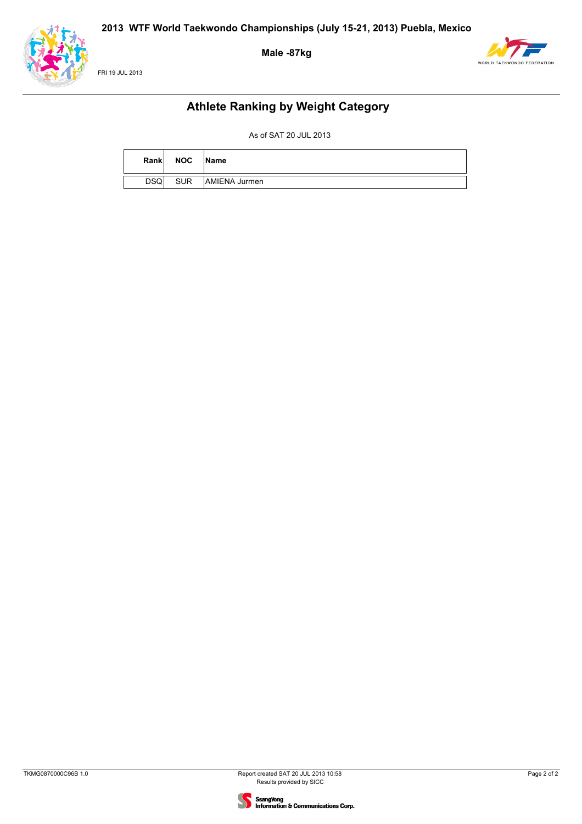





### **Athlete Ranking by Weight Category**

| Rank       | <b>NOC</b> | <b>Name</b>   |
|------------|------------|---------------|
| <b>DSQ</b> | <b>SUR</b> | AMIENA Jurmen |

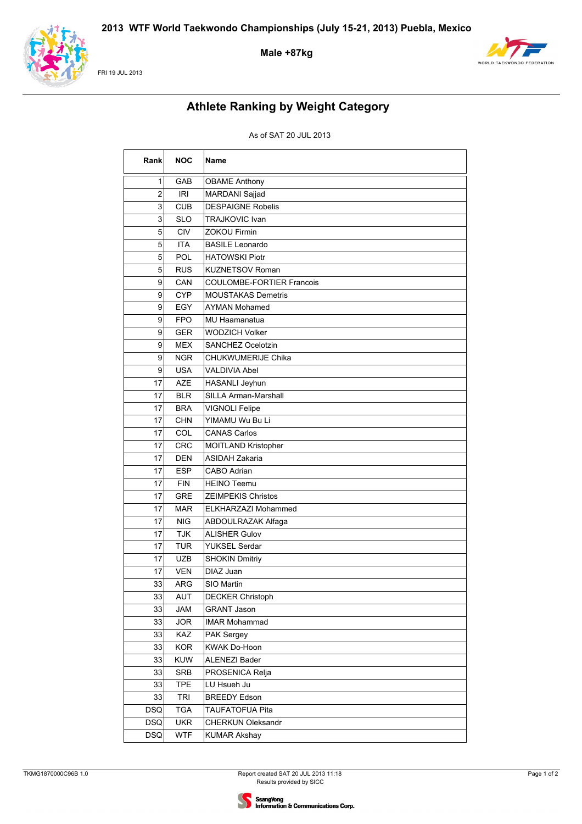

FRI 19 JUL 2013

**Male +87kg**



# **Athlete Ranking by Weight Category**

| Rank           | <b>NOC</b> | <b>Name</b>                      |
|----------------|------------|----------------------------------|
| $\mathbf{1}$   | GAB        | <b>OBAME Anthony</b>             |
| 2              | <b>IRI</b> | MARDANI Sajjad                   |
| $\overline{3}$ | <b>CUB</b> | <b>DESPAIGNE Robelis</b>         |
| 3              | <b>SLO</b> | <b>TRAJKOVIC Ivan</b>            |
| 5              | <b>CIV</b> | ZOKOU Firmin                     |
| 5              | <b>ITA</b> | <b>BASILE Leonardo</b>           |
| 5              | POL        | <b>HATOWSKI Piotr</b>            |
| 5 <sup>1</sup> | <b>RUS</b> | <b>KUZNETSOV Roman</b>           |
| 9              | CAN        | <b>COULOMBE-FORTIER Francois</b> |
| $\mathsf{g}$   | <b>CYP</b> | <b>MOUSTAKAS Demetris</b>        |
| 9              | EGY        | AYMAN Mohamed                    |
| 9              | <b>FPO</b> | MU Haamanatua                    |
| 9              | <b>GER</b> | <b>WODZICH Volker</b>            |
| 9              | <b>MEX</b> | SANCHEZ Ocelotzin                |
| $\mathsf{g}$   | <b>NGR</b> | CHUKWUMERIJE Chika               |
| 9              | <b>USA</b> | VALDIVIA Abel                    |
| 17             | <b>AZE</b> | HASANLI Jeyhun                   |
| 17             | <b>BLR</b> | <b>SILLA Arman-Marshall</b>      |
| 17             | <b>BRA</b> | <b>VIGNOLI Felipe</b>            |
| 17             | <b>CHN</b> | YIMAMU Wu Bu Li                  |
| 17             | COL        | <b>CANAS Carlos</b>              |
| 17             | <b>CRC</b> | MOITLAND Kristopher              |
| 17             | <b>DEN</b> | <b>ASIDAH Zakaria</b>            |
| 17             | <b>ESP</b> | <b>CABO Adrian</b>               |
| 17             | <b>FIN</b> | <b>HEINO Teemu</b>               |
| 17             | <b>GRE</b> | <b>ZEIMPEKIS Christos</b>        |
| 17             | <b>MAR</b> | ELKHARZAZI Mohammed              |
| 17             | <b>NIG</b> | ABDOULRAZAK Alfaga               |
| 17             | <b>TJK</b> | <b>ALISHER Gulov</b>             |
| 17             | TUR        | YUKSEL Serdar                    |
| 17             | <b>UZB</b> | <b>SHOKIN Dmitriy</b>            |
| 17             | <b>VEN</b> | DIAZ Juan                        |
| 33             | ARG        | SIO Martin                       |
| 33             | AUT        | <b>DECKER Christoph</b>          |
| 33             | <b>JAM</b> | <b>GRANT Jason</b>               |
| 33             | <b>JOR</b> | <b>IMAR Mohammad</b>             |
| 33             | KAZ        | PAK Sergey                       |
| 33             | <b>KOR</b> | KWAK Do-Hoon                     |
| 33             | KUW        | <b>ALENEZI Bader</b>             |
| 33             | <b>SRB</b> | PROSENICA Relja                  |
| 33             | <b>TPE</b> | LU Hsueh Ju                      |
| 33             | <b>TRI</b> | <b>BREEDY Edson</b>              |
| <b>DSQ</b>     | <b>TGA</b> | <b>TAUFATOFUA Pita</b>           |
| <b>DSQ</b>     | <b>UKR</b> | <b>CHERKUN Oleksandr</b>         |
| <b>DSQ</b>     | <b>WTF</b> | <b>KUMAR Akshay</b>              |

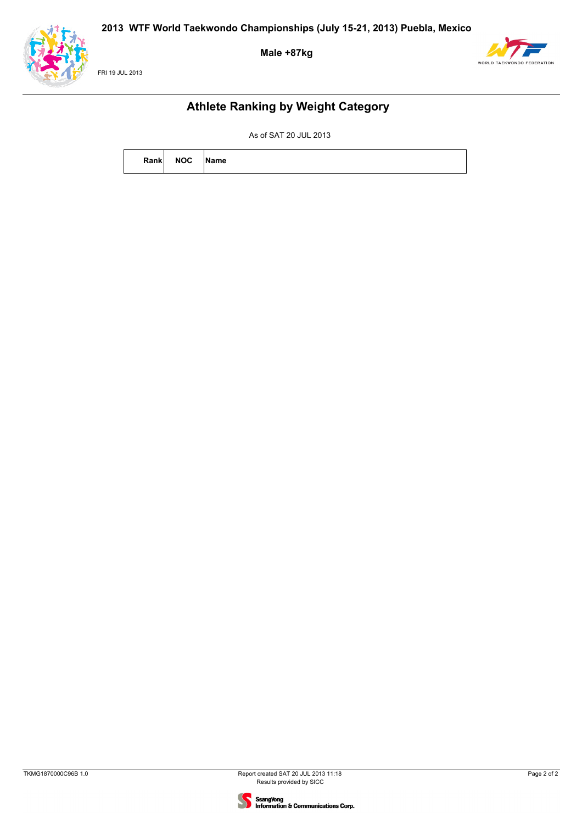**Male +87kg**





### **Athlete Ranking by Weight Category**

| Rank | <b>NOC</b> | Name |
|------|------------|------|
|      |            |      |

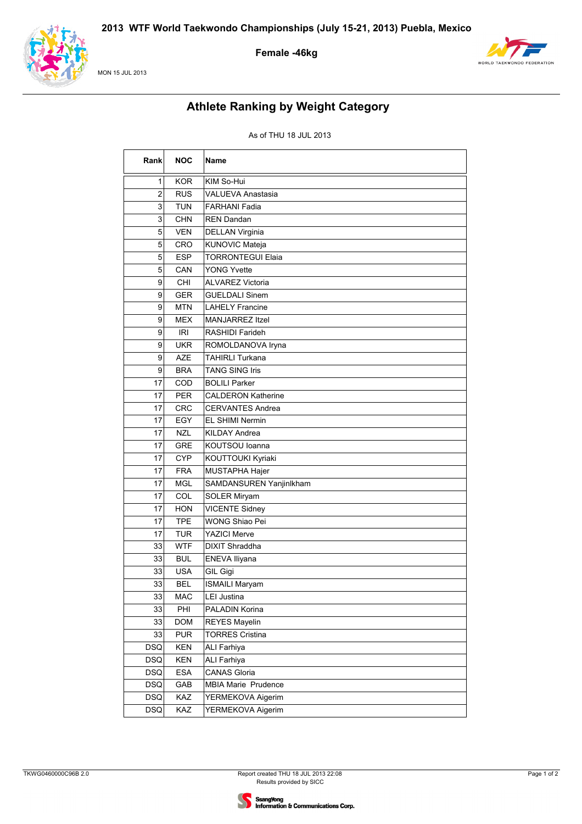

#### MON 15 JUL 2013

### **Female -46kg**



# **Athlete Ranking by Weight Category**

| Rank           | <b>NOC</b> | Name                      |
|----------------|------------|---------------------------|
| 1              | <b>KOR</b> | KIM So-Hui                |
| $\overline{c}$ | <b>RUS</b> | VALUEVA Anastasia         |
| $\mathbf{3}$   | <b>TUN</b> | <b>FARHANI Fadia</b>      |
| $\overline{3}$ | <b>CHN</b> | <b>REN Dandan</b>         |
| 5              | <b>VEN</b> | DELLAN Virginia           |
| 5              | CRO        | KUNOVIC Mateja            |
| 5              | <b>ESP</b> | <b>TORRONTEGUI Elaia</b>  |
| 5              | CAN        | <b>YONG Yvette</b>        |
| $\mathsf{g}$   | CHI        | <b>ALVAREZ Victoria</b>   |
| $\mathsf{g}$   | <b>GER</b> | <b>GUELDALI Sinem</b>     |
| 9              | <b>MTN</b> | <b>LAHELY Francine</b>    |
| 9              | <b>MEX</b> | <b>MANJARREZ Itzel</b>    |
| 9              | IRI        | RASHIDI Farideh           |
| 9              | <b>UKR</b> | ROMOLDANOVA Iryna         |
| 9              | <b>AZE</b> | <b>TAHIRLI Turkana</b>    |
| $\mathsf{g}$   | <b>BRA</b> | <b>TANG SING Iris</b>     |
| 17             | COD        | <b>BOLILI Parker</b>      |
| 17             | <b>PER</b> | <b>CALDERON Katherine</b> |
| 17             | <b>CRC</b> | <b>CERVANTES Andrea</b>   |
| 17             | EGY        | <b>EL SHIMI Nermin</b>    |
| 17             | <b>NZL</b> | <b>KILDAY Andrea</b>      |
| 17             | <b>GRE</b> | KOUTSOU Ioanna            |
| 17             | <b>CYP</b> | KOUTTOUKI Kyriaki         |
| 17             | <b>FRA</b> | MUSTAPHA Hajer            |
| 17             | <b>MGL</b> | SAMDANSUREN Yanjinlkham   |
| $17 \,$        | COL        | <b>SOLER Miryam</b>       |
| 17             | <b>HON</b> | <b>VICENTE Sidney</b>     |
| 17             | <b>TPE</b> | <b>WONG Shiao Pei</b>     |
| 17             | <b>TUR</b> | <b>YAZICI Merve</b>       |
| 33             | <b>WTF</b> | <b>DIXIT Shraddha</b>     |
| 33             | <b>BUL</b> | ENEVA Iliyana             |
| 33             | <b>USA</b> | GIL Gigi                  |
| 33             | <b>BEL</b> | <b>ISMAILI Maryam</b>     |
| 33             | <b>MAC</b> | <b>LEI Justina</b>        |
| 33             | PHI        | PALADIN Korina            |
| 33             | <b>DOM</b> | <b>REYES Mayelin</b>      |
| 33             | <b>PUR</b> | <b>TORRES Cristina</b>    |
| <b>DSQ</b>     | KEN        | <b>ALI Farhiya</b>        |
| <b>DSQ</b>     | KEN        | <b>ALI Farhiya</b>        |
| DSQ            | <b>ESA</b> | <b>CANAS Gloria</b>       |
| DSQ            | GAB        | MBIA Marie Prudence       |
| <b>DSQ</b>     | KAZ        | YERMEKOVA Aigerim         |
| <b>DSQ</b>     | KAZ        | YERMEKOVA Aigerim         |

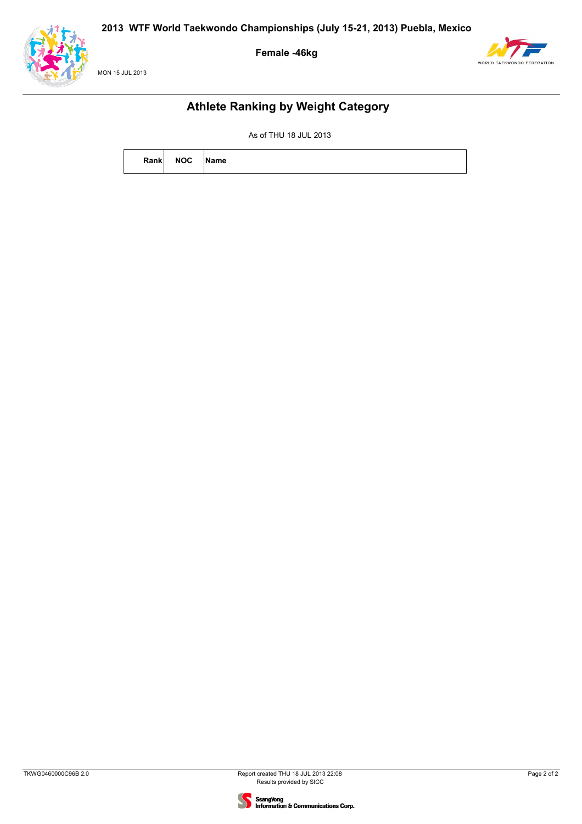





### **Athlete Ranking by Weight Category**

| Rank | <b>NOC</b> | Name |
|------|------------|------|
|      |            |      |

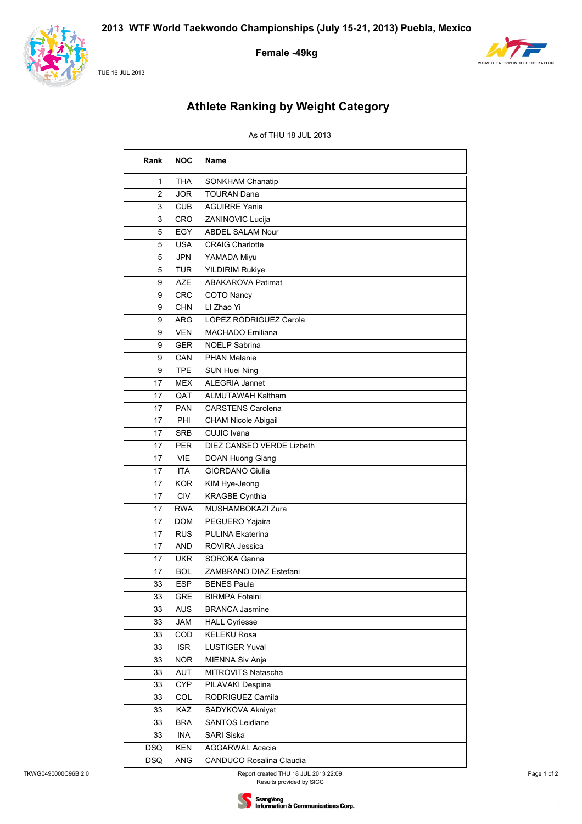

#### TUE 16 JUL 2013

### **Female -49kg**



# **Athlete Ranking by Weight Category**

| Rank       | <b>NOC</b> | Name                          |
|------------|------------|-------------------------------|
| 1          | THA        | SONKHAM Chanatip              |
| 2          | <b>JOR</b> | TOURAN Dana                   |
| 3          | <b>CUB</b> | AGUIRRE Yania                 |
| 3          | CRO        | ZANINOVIC Lucija              |
| 5          | <b>EGY</b> | <b>ABDEL SALAM Nour</b>       |
| 5          | <b>USA</b> | <b>CRAIG Charlotte</b>        |
| 5          | <b>JPN</b> | YAMADA Miyu                   |
| 5          | <b>TUR</b> | <b>YILDIRIM Rukiye</b>        |
| 9          | AZE        | <b>ABAKAROVA Patimat</b>      |
| 9          | <b>CRC</b> | <b>COTO Nancy</b>             |
| 9          | <b>CHN</b> | LI Zhao Yi                    |
| 9          | <b>ARG</b> | <b>LOPEZ RODRIGUEZ Carola</b> |
| 9          | <b>VEN</b> | MACHADO Emiliana              |
| 9          | <b>GER</b> | <b>NOELP Sabrina</b>          |
| 9          | CAN        | <b>PHAN Melanie</b>           |
| 9          | <b>TPE</b> | <b>SUN Huei Ning</b>          |
| 17         | <b>MEX</b> | <b>ALEGRIA Jannet</b>         |
| 17         | QAT        | ALMUTAWAH Kaltham             |
| 17         | <b>PAN</b> | <b>CARSTENS Carolena</b>      |
| 17         | PHI        | <b>CHAM Nicole Abigail</b>    |
| 17         | <b>SRB</b> | CUJIC Ivana                   |
| 17         | <b>PER</b> | DIEZ CANSEO VERDE Lizbeth     |
| 17         | <b>VIE</b> | DOAN Huong Giang              |
| 17         | <b>ITA</b> | <b>GIORDANO Giulia</b>        |
| 17         | <b>KOR</b> | KIM Hye-Jeong                 |
| 17         | <b>CIV</b> | <b>KRAGBE Cynthia</b>         |
| 17         | <b>RWA</b> | MUSHAMBOKAZI Zura             |
| 17         | <b>DOM</b> | PEGUERO Yajaira               |
| 17         | <b>RUS</b> | PULINA Ekaterina              |
| 17         | AND        | ROVIRA Jessica                |
| 17         | <b>UKR</b> | SOROKA Ganna                  |
| 17         | <b>BOL</b> | ZAMBRANO DIAZ Estefani        |
| 33         | <b>ESP</b> | <b>BENES Paula</b>            |
| 33         | GRE        | <b>BIRMPA Foteini</b>         |
| 33         | <b>AUS</b> | <b>BRANCA Jasmine</b>         |
| 33         | JAM        | <b>HALL Cyriesse</b>          |
| 33         | COD        | <b>KELEKU Rosa</b>            |
| 33         | <b>ISR</b> | <b>LUSTIGER Yuval</b>         |
| 33         | <b>NOR</b> | MIENNA Siv Anja               |
| 33         | AUT        | <b>MITROVITS Natascha</b>     |
| 33         | <b>CYP</b> | PILAVAKI Despina              |
| 33         | COL        | RODRIGUEZ Camila              |
| 33         | KAZ        | SADYKOVA Akniyet              |
| 33         | <b>BRA</b> | <b>SANTOS Leidiane</b>        |
| 33         | INA        | SARI Siska                    |
| <b>DSQ</b> | KEN        | AGGARWAL Acacia               |
| <b>DSQ</b> | ANG        | CANDUCO Rosalina Claudia      |

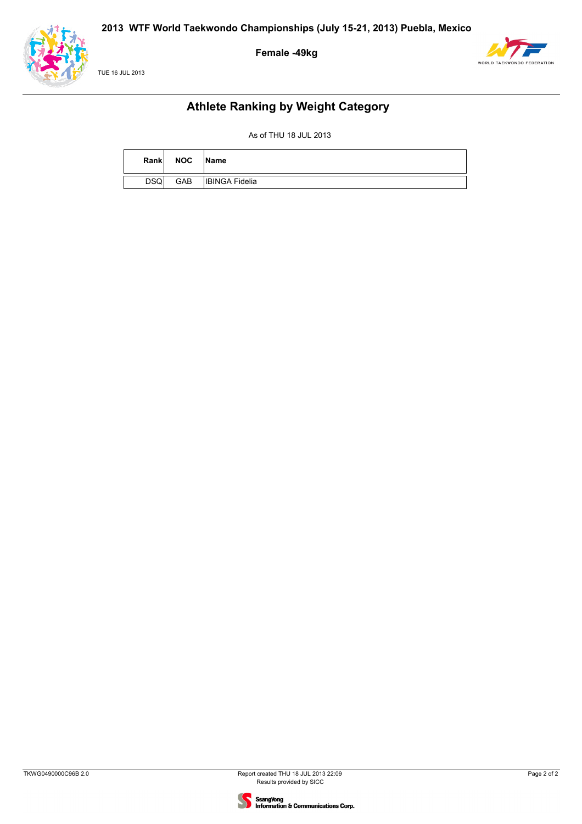





### **Athlete Ranking by Weight Category**

| Rank       | <b>NOC</b> | Name                  |
|------------|------------|-----------------------|
| <b>DSQ</b> | GAB        | <b>IBINGA Fidelia</b> |

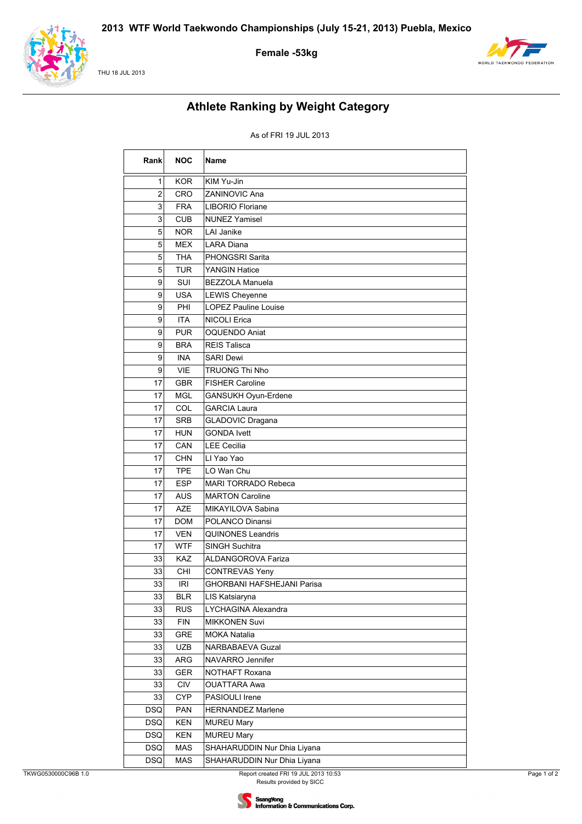

#### THU 18 JUL 2013

### Female -53kg



# **Athlete Ranking by Weight Category**

#### As of FRI 19 JUL 2013

| Rank           | <b>NOC</b> | Name                              |
|----------------|------------|-----------------------------------|
| 1              | KOR.       | KIM Yu-Jin                        |
| $\overline{2}$ | CRO        | <b>ZANINOVIC Ana</b>              |
| 3              | <b>FRA</b> | LIBORIO Floriane                  |
| 3              | <b>CUB</b> | <b>NUNEZ Yamisel</b>              |
| 5              | <b>NOR</b> | LAI Janike                        |
| 5              | <b>MEX</b> | <b>LARA Diana</b>                 |
| 5              | <b>THA</b> | PHONGSRI Sarita                   |
| 5              | <b>TUR</b> | <b>YANGIN Hatice</b>              |
| 9              | SUI        | <b>BEZZOLA Manuela</b>            |
| 9              | <b>USA</b> | LEWIS Cheyenne                    |
| 9              | PHI        | <b>LOPEZ Pauline Louise</b>       |
| 9              | <b>ITA</b> | <b>NICOLI Erica</b>               |
| 9              | <b>PUR</b> | <b>OQUENDO Aniat</b>              |
| 9              | <b>BRA</b> | <b>REIS Talisca</b>               |
| 9              | <b>INA</b> | <b>SARI Dewi</b>                  |
| 9              | <b>VIE</b> | TRUONG Thi Nho                    |
| 17             | <b>GBR</b> | <b>FISHER Caroline</b>            |
| 17             | MGL        | GANSUKH Oyun-Erdene               |
| 17             | COL        | <b>GARCIA Laura</b>               |
| 17             | <b>SRB</b> | <b>GLADOVIC Dragana</b>           |
| 17             | <b>HUN</b> | <b>GONDA Ivett</b>                |
| 17             | CAN        | <b>LEE Cecilia</b>                |
| 17             | <b>CHN</b> | LI Yao Yao                        |
| 17             | <b>TPE</b> | LO Wan Chu                        |
| 17             | <b>ESP</b> | <b>MARI TORRADO Rebeca</b>        |
| 17             | <b>AUS</b> | <b>MARTON Caroline</b>            |
| 17             | <b>AZE</b> | MIKAYILOVA Sabina                 |
| 17             | <b>DOM</b> | POLANCO Dinansi                   |
| 17             | <b>VEN</b> | <b>QUINONES Leandris</b>          |
| 17             | <b>WTF</b> | <b>SINGH Suchitra</b>             |
| 33             | KAZ        | ALDANGOROVA Fariza                |
| 33             | CHI        | <b>CONTREVAS Yeny</b>             |
| 33             | <b>IRI</b> | <b>GHORBANI HAFSHEJANI Parisa</b> |
| 33             | <b>BLR</b> | LIS Katsiaryna                    |
| 33             | <b>RUS</b> | LYCHAGINA Alexandra               |
| 33             | <b>FIN</b> | MIKKONEN Suvi                     |
| 33             | GRE        | <b>MOKA Natalia</b>               |
| 33             | UZB        | NARBABAEVA Guzal                  |
| 33             | ARG        | NAVARRO Jennifer                  |
| 33             | GER        | NOTHAFT Roxana                    |
| 33             | CIV        | <b>OUATTARA Awa</b>               |
| 33             | <b>CYP</b> | PASIOULI Irene                    |
| <b>DSQ</b>     | <b>PAN</b> | HERNANDEZ Marlene                 |
| <b>DSQ</b>     | <b>KEN</b> | <b>MUREU Mary</b>                 |
| <b>DSQ</b>     | KEN        | <b>MUREU Mary</b>                 |
| <b>DSQ</b>     | MAS        | SHAHARUDDIN Nur Dhia Liyana       |
| <b>DSQ</b>     | MAS        | SHAHARUDDIN Nur Dhia Liyana       |

Report created FRI 19 JUL 2013 10:53<br>Results provided by SICC

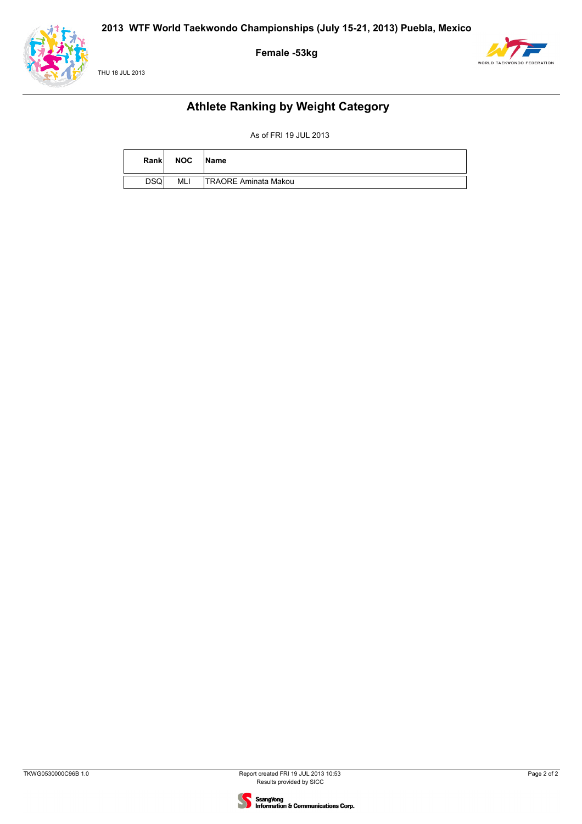





### **Athlete Ranking by Weight Category**

As of FRI 19 JUL 2013

| Rank        | <b>NOC</b> | <b>Name</b>                 |
|-------------|------------|-----------------------------|
| <b>DSQI</b> | MLI        | <b>TRAORE Aminata Makou</b> |

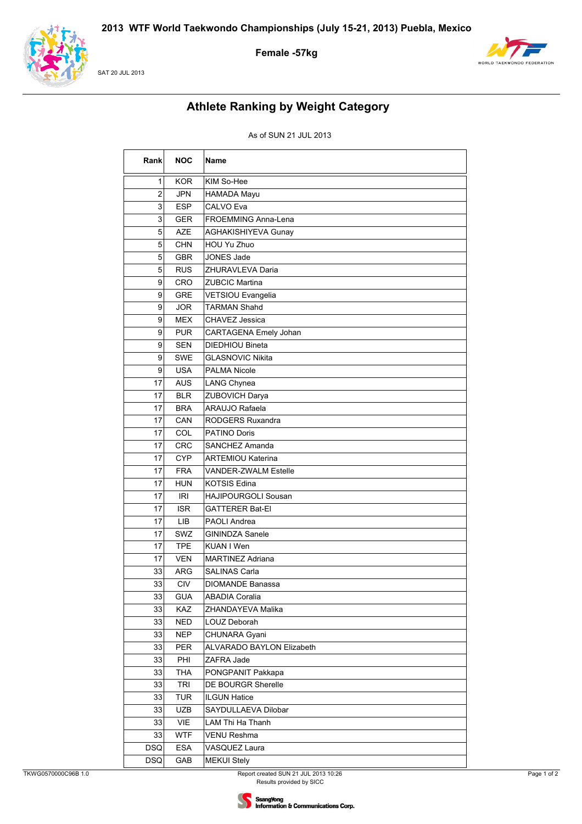

SAT 20 JUL 2013

### Female -57kg



# **Athlete Ranking by Weight Category**

#### As of SUN 21 JUL 2013

| Rank           | <b>NOC</b> | <b>Name</b>                |
|----------------|------------|----------------------------|
| 1              | <b>KOR</b> | KIM So-Hee                 |
| $\overline{2}$ | <b>JPN</b> | HAMADA Mayu                |
| 3              | <b>ESP</b> | <b>CALVO Eva</b>           |
| 3              | <b>GER</b> | <b>FROEMMING Anna-Lena</b> |
| 5              | <b>AZE</b> | AGHAKISHIYEVA Gunay        |
| 5              | <b>CHN</b> | HOU Yu Zhuo                |
| 5              | <b>GBR</b> | <b>JONES Jade</b>          |
| 5              | <b>RUS</b> | ZHURAVLEVA Daria           |
| 9              | CRO        | <b>ZUBCIC Martina</b>      |
| 9              | <b>GRE</b> | VETSIOU Evangelia          |
| 9              | <b>JOR</b> | <b>TARMAN Shahd</b>        |
| 9              | <b>MEX</b> | CHAVEZ Jessica             |
| 9              | <b>PUR</b> | CARTAGENA Emely Johan      |
| 9              | <b>SEN</b> | DIEDHIOU Bineta            |
| 9              | <b>SWE</b> | <b>GLASNOVIC Nikita</b>    |
| 9              | USA        | <b>PALMA Nicole</b>        |
| 17             | <b>AUS</b> | LANG Chynea                |
| 17             | <b>BLR</b> | ZUBOVICH Darya             |
| 17             | <b>BRA</b> | ARAUJO Rafaela             |
| 17             | CAN        | RODGERS Ruxandra           |
| 17             | COL        | PATINO Doris               |
| 17             | <b>CRC</b> | SANCHEZ Amanda             |
| 17             | <b>CYP</b> | <b>ARTEMIOU Katerina</b>   |
| 17             | <b>FRA</b> | VANDER-ZWALM Estelle       |
| 17             | <b>HUN</b> | <b>KOTSIS Edina</b>        |
| 17             | <b>IRI</b> | HAJIPOURGOLI Sousan        |
| 17             | <b>ISR</b> | <b>GATTERER Bat-EI</b>     |
| 17             | <b>LIB</b> | <b>PAOLI Andrea</b>        |
| 17             | SWZ        | <b>GININDZA Sanele</b>     |
| 17             | <b>TPE</b> | KUAN I Wen                 |
| 17             | <b>VEN</b> | <b>MARTINEZ Adriana</b>    |
| 33             | <b>ARG</b> | <b>SALINAS Carla</b>       |
| 33             | <b>CIV</b> | DIOMANDE Banassa           |
| 33             | <b>GUA</b> | <b>ABADIA Coralia</b>      |
| 33             | KAZ        | ZHANDAYEVA Malika          |
| 33             | <b>NED</b> | LOUZ Deborah               |
| 33             | <b>NEP</b> | CHUNARA Gyani              |
| 33             | PER        | ALVARADO BAYLON Elizabeth  |
| 33             | PHI        | ZAFRA Jade                 |
| 33             | <b>THA</b> | PONGPANIT Pakkapa          |
| 33             | <b>TRI</b> | DE BOURGR Sherelle         |
| 33             | <b>TUR</b> | <b>ILGUN Hatice</b>        |
| 33             | <b>UZB</b> | SAYDULLAEVA Dilobar        |
| 33             | VIE        | LAM Thi Ha Thanh           |
| 33             | <b>WTF</b> | <b>VENU Reshma</b>         |
| <b>DSQ</b>     | <b>ESA</b> | VASQUEZ Laura              |
| <b>DSQ</b>     | GAB        | <b>MEKUI Stely</b>         |

Page 1 of 2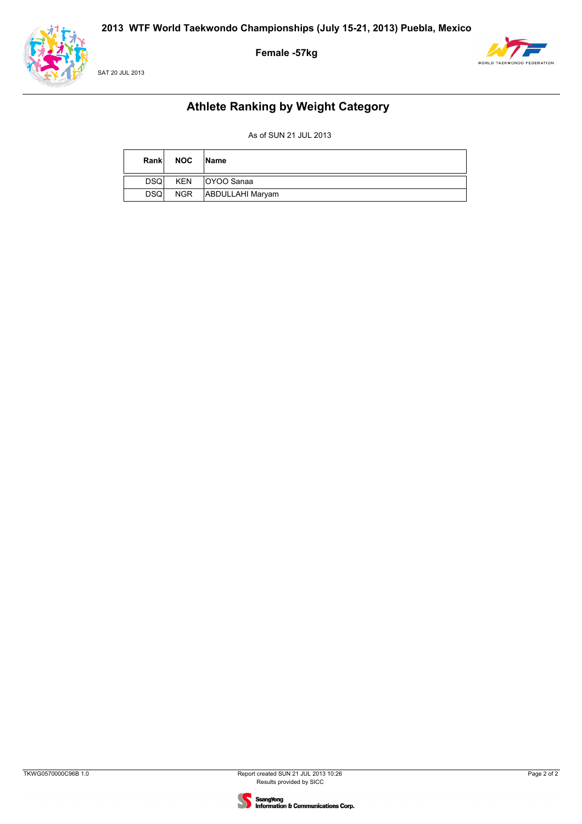**Female -57kg**





## **Athlete Ranking by Weight Category**

As of SUN 21 JUL 2013

| Rank       | <b>NOC</b> | <b>Name</b>      |
|------------|------------|------------------|
| <b>DSQ</b> | <b>KEN</b> | lOYOO Sanaa      |
| <b>DSQ</b> | NGR        | ABDULLAHI Maryam |

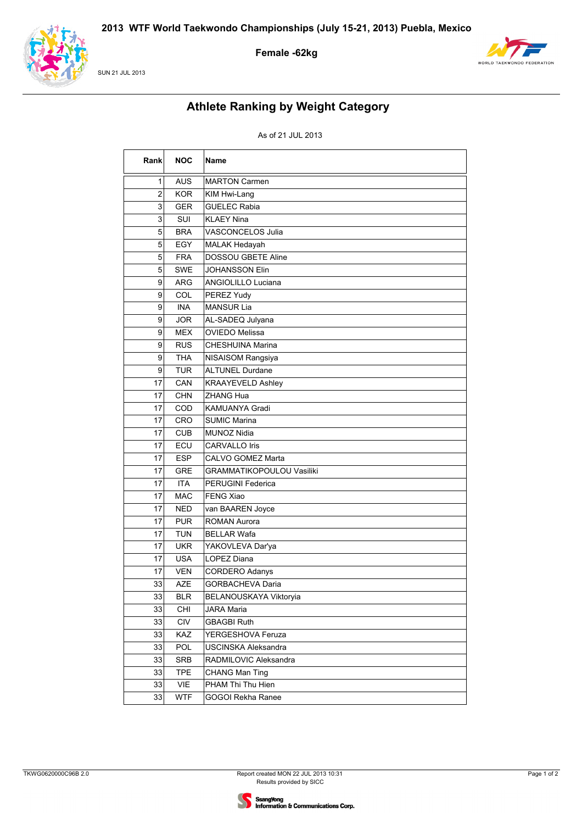

**SUN 21 JUL 2013** 





# **Athlete Ranking by Weight Category**

### As of 21 JUL 2013

| Rank           | <b>NOC</b> | Name                             |
|----------------|------------|----------------------------------|
| 1              | <b>AUS</b> | <b>MARTON Carmen</b>             |
| $\overline{c}$ | <b>KOR</b> | KIM Hwi-Lang                     |
| 3              | <b>GER</b> | <b>GUELEC Rabia</b>              |
| 3              | SUI        | <b>KLAEY Nina</b>                |
| 5              | <b>BRA</b> | VASCONCELOS Julia                |
| 5              | EGY        | MALAK Hedayah                    |
| 5              | <b>FRA</b> | <b>DOSSOU GBETE Aline</b>        |
| 5              | <b>SWE</b> | <b>JOHANSSON Elin</b>            |
| 9              | <b>ARG</b> | ANGIOLILLO Luciana               |
| 9              | COL        | PEREZ Yudy                       |
| 9              | <b>INA</b> | <b>MANSUR Lia</b>                |
| 9              | <b>JOR</b> | AL-SADEQ Julyana                 |
| 9              | <b>MEX</b> | <b>OVIEDO Melissa</b>            |
| 9              | <b>RUS</b> | <b>CHESHUINA Marina</b>          |
| 9              | <b>THA</b> | NISAISOM Rangsiya                |
| 9              | <b>TUR</b> | <b>ALTUNEL Durdane</b>           |
| 17             | CAN        | <b>KRAAYEVELD Ashley</b>         |
| 17             | <b>CHN</b> | <b>ZHANG Hua</b>                 |
| 17             | COD        | KAMUANYA Gradi                   |
| 17             | CRO        | <b>SUMIC Marina</b>              |
| 17             | <b>CUB</b> | <b>MUNOZ Nidia</b>               |
| 17             | ECU        | <b>CARVALLO Iris</b>             |
| 17             | <b>ESP</b> | CALVO GOMEZ Marta                |
| 17             | <b>GRE</b> | <b>GRAMMATIKOPOULOU Vasiliki</b> |
| 17             | <b>ITA</b> | PERUGINI Federica                |
| 17             | <b>MAC</b> | <b>FENG Xiao</b>                 |
| 17             | <b>NED</b> | van BAAREN Joyce                 |
| 17             | <b>PUR</b> | <b>ROMAN Aurora</b>              |
| 17             | <b>TUN</b> | <b>BELLAR Wafa</b>               |
| 17             | <b>UKR</b> | YAKOVLEVA Dar'ya                 |
| 17             | <b>USA</b> | LOPEZ Diana                      |
| 17             | <b>VEN</b> | <b>CORDERO Adanys</b>            |
| 33             | AZE        | GORBACHEVA Daria                 |
| 33             | <b>BLR</b> | BELANOUSKAYA Viktoryia           |
| 33             | CHI        | <b>JARA Maria</b>                |
| 33             | <b>CIV</b> | <b>GBAGBI Ruth</b>               |
| 33             | KAZ        | YERGESHOVA Feruza                |
| 33             | POL        | <b>USCINSKA Aleksandra</b>       |
| 33             | SRB        | RADMILOVIC Aleksandra            |
| 33             | <b>TPE</b> | <b>CHANG Man Ting</b>            |
| 33             | VIE        | PHAM Thi Thu Hien                |
| 33             | <b>WTF</b> | GOGOI Rekha Ranee                |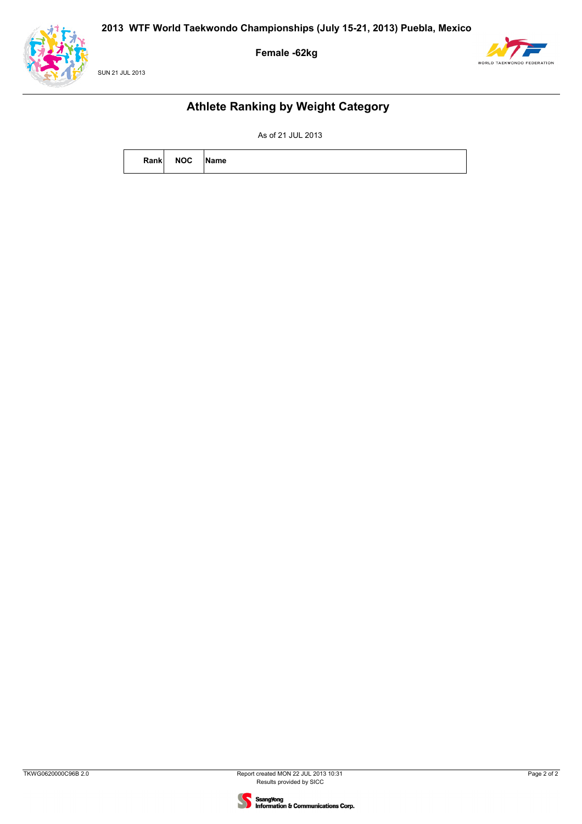





### **Athlete Ranking by Weight Category**

As of 21 JUL 2013

| Rank | <b>NOC</b> | <b>Name</b> |
|------|------------|-------------|
|      |            |             |

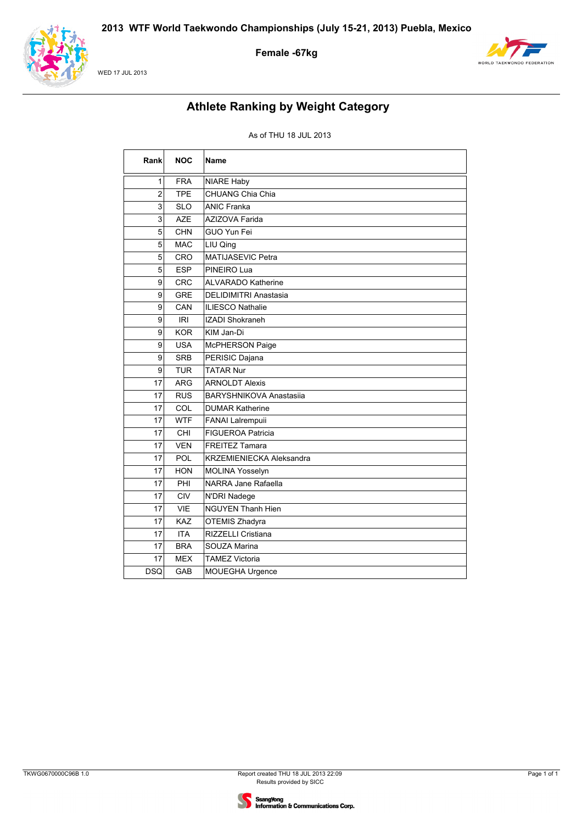

#### WED 17 JUL 2013

### **Female -67kg**



# **Athlete Ranking by Weight Category**

| Rank           | <b>NOC</b> | Name                            |
|----------------|------------|---------------------------------|
| 1              | <b>FRA</b> | <b>NIARE Haby</b>               |
| $\overline{2}$ | <b>TPE</b> | CHUANG Chia Chia                |
| 3              | <b>SLO</b> | <b>ANIC Franka</b>              |
| 3              | <b>AZE</b> | <b>AZIZOVA Farida</b>           |
| 5              | <b>CHN</b> | GUO Yun Fei                     |
| 5              | <b>MAC</b> | LIU Qing                        |
| 5              | <b>CRO</b> | <b>MATIJASEVIC Petra</b>        |
| 5              | <b>ESP</b> | PINEIRO Lua                     |
| 9              | <b>CRC</b> | <b>ALVARADO Katherine</b>       |
| 9              | <b>GRE</b> | DELIDIMITRI Anastasia           |
| 9              | CAN        | <b>ILIESCO Nathalie</b>         |
| 9              | <b>IRI</b> | <b>IZADI Shokraneh</b>          |
| 9              | <b>KOR</b> | KIM Jan-Di                      |
| 9              | <b>USA</b> | McPHERSON Paige                 |
| 9              | <b>SRB</b> | PERISIC Dajana                  |
| 9              | <b>TUR</b> | <b>TATAR Nur</b>                |
| 17             | <b>ARG</b> | <b>ARNOLDT Alexis</b>           |
| 17             | <b>RUS</b> | <b>BARYSHNIKOVA Anastasija</b>  |
| 17             | COL        | <b>DUMAR Katherine</b>          |
| 17             | <b>WTF</b> | FANAI Lalrempuii                |
| 17             | CHI        | <b>FIGUEROA Patricia</b>        |
| 17             | <b>VEN</b> | <b>FREITEZ Tamara</b>           |
| 17             | POL        | <b>KRZEMIENIECKA Aleksandra</b> |
| 17             | <b>HON</b> | MOLINA Yosselyn                 |
| 17             | PHI        | NARRA Jane Rafaella             |
| 17             | <b>CIV</b> | N'DRI Nadege                    |
| 17             | <b>VIE</b> | <b>NGUYEN Thanh Hien</b>        |
| 17             | <b>KAZ</b> | OTEMIS Zhadyra                  |
| 17             | <b>ITA</b> | <b>RIZZELLI Cristiana</b>       |
| 17             | <b>BRA</b> | SOUZA Marina                    |
| 17             | <b>MEX</b> | <b>TAMEZ Victoria</b>           |
| <b>DSQ</b>     | GAB        | MOUEGHA Urgence                 |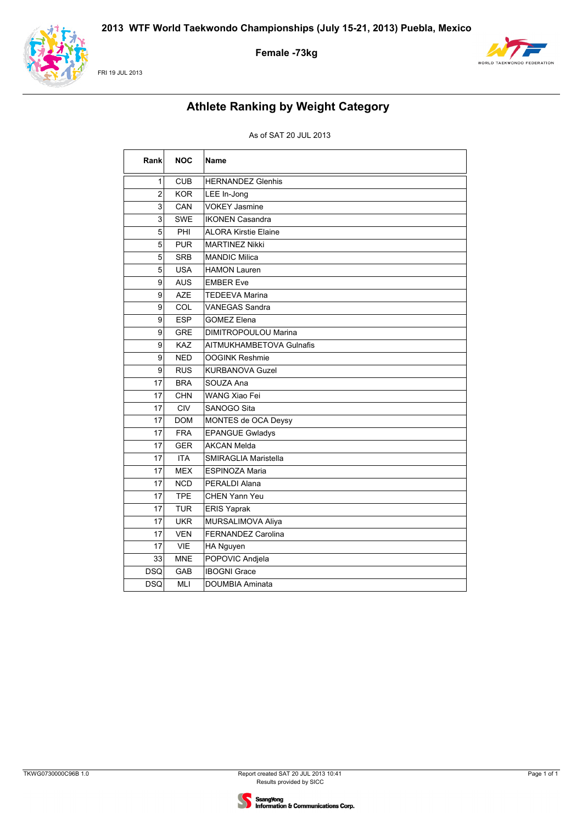

FRI 19 JUL 2013





# **Athlete Ranking by Weight Category**

| Rank           | <b>NOC</b> | <b>Name</b>                 |
|----------------|------------|-----------------------------|
| 1              | <b>CUB</b> | <b>HERNANDEZ Glenhis</b>    |
| $\overline{2}$ | <b>KOR</b> | LEE In-Jong                 |
| 3              | CAN        | <b>VOKEY Jasmine</b>        |
| 3              | <b>SWE</b> | <b>IKONEN Casandra</b>      |
| 5              | PHI        | <b>ALORA Kirstie Elaine</b> |
| 5              | <b>PUR</b> | <b>MARTINEZ Nikki</b>       |
| 5              | <b>SRB</b> | <b>MANDIC Milica</b>        |
| 5              | <b>USA</b> | <b>HAMON Lauren</b>         |
| 9              | <b>AUS</b> | <b>EMBER Eve</b>            |
| 9              | <b>AZE</b> | <b>TEDEEVA Marina</b>       |
| 9              | COL        | VANEGAS Sandra              |
| 9              | <b>ESP</b> | <b>GOMEZ Elena</b>          |
| 9              | <b>GRE</b> | <b>DIMITROPOULOU Marina</b> |
| 9              | KAZ        | AITMUKHAMBETOVA Gulnafis    |
| 9              | <b>NED</b> | <b>OOGINK Reshmie</b>       |
| 9              | <b>RUS</b> | <b>KURBANOVA Guzel</b>      |
| 17             | <b>BRA</b> | SOUZA Ana                   |
| 17             | <b>CHN</b> | <b>WANG Xiao Fei</b>        |
| 17             | <b>CIV</b> | SANOGO Sita                 |
| 17             | <b>DOM</b> | MONTES de OCA Deysy         |
| 17             | <b>FRA</b> | <b>EPANGUE Gwladys</b>      |
| 17             | <b>GER</b> | <b>AKCAN Melda</b>          |
| 17             | <b>ITA</b> | SMIRAGLIA Maristella        |
| 17             | <b>MEX</b> | <b>ESPINOZA Maria</b>       |
| 17             | <b>NCD</b> | PERALDI Alana               |
| 17             | <b>TPE</b> | <b>CHEN Yann Yeu</b>        |
| 17             | <b>TUR</b> | <b>ERIS Yaprak</b>          |
| 17             | <b>UKR</b> | MURSALIMOVA Aliya           |
| 17             | <b>VEN</b> | <b>FERNANDEZ Carolina</b>   |
| 17             | <b>VIE</b> | HA Nguyen                   |
| 33             | <b>MNE</b> | POPOVIC Andjela             |
| <b>DSQ</b>     | GAB        | <b>IBOGNI Grace</b>         |
| <b>DSQ</b>     | MLI        | DOUMBIA Aminata             |